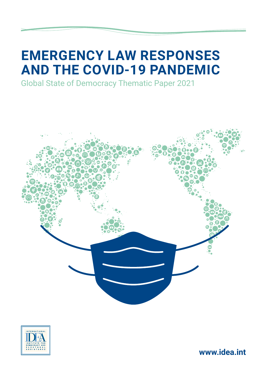# **EMERGENCY LAW RESPONSES AND THE COVID-19 PANDEMIC**

Global State of Democracy Thematic Paper 2021





**www.idea.int**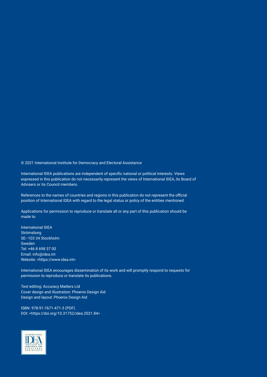© 2021 International Institute for Democracy and Electoral Assistance

International IDEA publications are independent of specific national or political interests. Views expressed in this publication do not necessarily represent the views of International IDEA, its Board of Advisers or its Council members.

References to the names of countries and regions in this publication do not represent the official position of International IDEA with regard to the legal status or policy of the entities mentioned.

Applications for permission to reproduce or translate all or any part of this publication should be made to:

International IDEA Strömsborg SE–103 34 Stockholm Sweden Tel: +46 8 698 37 00 Email: info@idea.int Website: <https://www.idea.int>

International IDEA encourages dissemination of its work and will promptly respond to requests for permission to reproduce or translate its publications.

Text editing: Accuracy Matters Ltd Cover design and illustration: Phoenix Design Aid Design and layout: Phoenix Design Aid

ISBN: 978-91-7671-471-3 (PDF) DOI: <[https://doi.org/10.31752/idea.2021.84>](https://doi.org/10.31752/idea.2021.84)

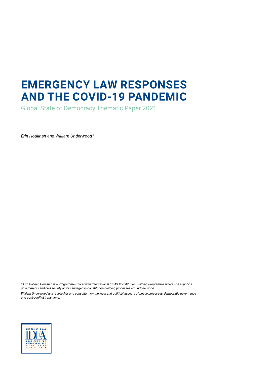## **EMERGENCY LAW RESPONSES AND THE COVID-19 PANDEMIC**

Global State of Democracy Thematic Paper 2021

*Erin Houlihan and William Underwood\**

*\* Erin Colleen Houlihan is a Programme Officer with International IDEA's Constitution-Building Programme where she supports governments and civil society actors engaged in constitution-building processes around the world.*

*William Underwood is a researcher and consultant on the legal and political aspects of peace processes, democratic governance and post-conflict transitions.*

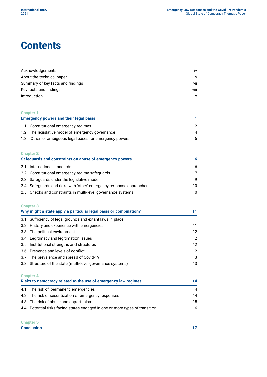### **Contents**

| Acknowledgements                  | iv           |
|-----------------------------------|--------------|
| About the technical paper         | $\mathsf{V}$ |
| Summary of key facts and findings | vii          |
| Key facts and findings            | viii         |
| Introduction                      | x            |
|                                   |              |

#### **[Chapter 1](#page-13-0)**

| <b>Emergency powers and their legal basis</b> |                                                           |     |
|-----------------------------------------------|-----------------------------------------------------------|-----|
|                                               | 1.1 Constitutional emergency regimes                      |     |
|                                               | 1.2 The legislative model of emergency governance         | 4   |
|                                               | 1.3 'Other' or ambiguous legal bases for emergency powers | .5. |

#### **[Chapter 2](#page-18-0)**

| Safeguards and constraints on abuse of emergency powers |                                                                     |     |
|---------------------------------------------------------|---------------------------------------------------------------------|-----|
|                                                         | 2.1 International standards                                         | 6.  |
|                                                         | 2.2 Constitutional emergency regime safeguards                      |     |
|                                                         | 2.3 Safeguards under the legislative model                          | q   |
|                                                         | 2.4 Safeguards and risks with 'other' emergency response approaches | 10. |
|                                                         | 2.5 Checks and constraints in multi-level governance systems        | 10  |

#### **[Chapter 3](#page-23-0) [Why might a state apply a particular legal basis or combination?](#page-23-0) 11** 3.1 [Sufficiency of legal grounds and extant laws in place](#page-23-0) 11 Sufficiency of legal grounds and extant laws in place 3.2 [History and experience with emergencies](#page-23-0) 11 3.3 [The political environment](#page-24-0) 12 3.4 [Legitimacy and legitimation issues](#page-24-0) 12 3.5 [Institutional strengths and structures](#page-24-0) 12 3.6 [Presence and levels of conflict](#page-24-0) 12 3.7 [The prevalence and spread of Covid-19](#page-25-0) 13 3.8 [Structure of the state \(multi-level governance systems\)](#page-25-0) 13

| <b>Chapter 4</b>                                                             |    |
|------------------------------------------------------------------------------|----|
| Risks to democracy related to the use of emergency law regimes               | 14 |
| 4.1 The risk of 'permanent' emergencies                                      | 14 |
| 4.2 The risk of securitization of emergency responses                        | 14 |
| 4.3 The risk of abuse and opportunism                                        | 15 |
| 4.4 Potential risks facing states engaged in one or more types of transition | 16 |

| <b>Conclusion</b> |  |
|-------------------|--|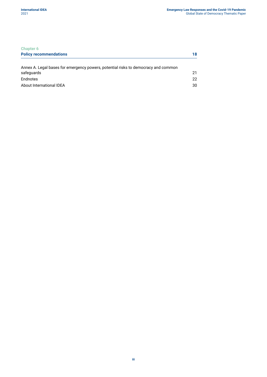| <b>Chapter 6</b>                                                                   |    |
|------------------------------------------------------------------------------------|----|
| <b>Policy recommendations</b>                                                      | 18 |
| Annex A. Legal bases for emergency powers, potential risks to democracy and common |    |
| safeguards                                                                         | 21 |
| Endnotes                                                                           | 22 |
| About International IDEA                                                           | 30 |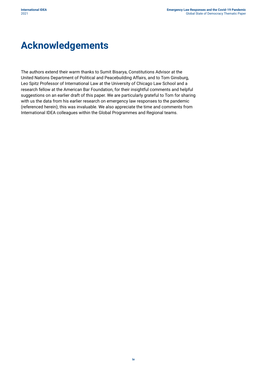### <span id="page-5-0"></span>**Acknowledgements**

The authors extend their warm thanks to Sumit Bisarya, Constitutions Advisor at the United Nations Department of Political and Peacebuilding Affairs, and to Tom Ginsburg, Leo Spitz Professor of International Law at the University of Chicago Law School and a research fellow at the American Bar Foundation, for their insightful comments and helpful suggestions on an earlier draft of this paper. We are particularly grateful to Tom for sharing with us the data from his earlier research on emergency law responses to the pandemic (referenced herein); this was invaluable. We also appreciate the time and comments from International IDEA colleagues within the Global Programmes and Regional teams.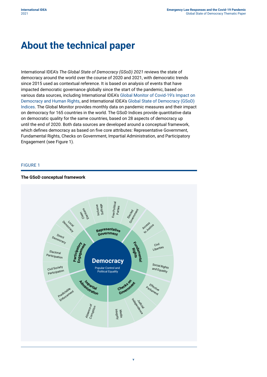### <span id="page-6-0"></span>**About the technical paper**

International IDEA's *The Global State of Democracy (GSoD) 2021* reviews the state of democracy around the world over the course of 2020 and 2021, with democratic trends since 2015 used as contextual reference. It is based on analysis of events that have impacted democratic governance globally since the start of the pandemic, based on various data sources, including International IDEA's [Global Monitor of Covid-19's Impact on](https://www.idea.int/gsod-indices/#/covid-19-monitor)  [Democracy and Human Rights](https://www.idea.int/gsod-indices/#/covid-19-monitor), and International IDEA's [Global State of Democracy \(GSoD\)](https://www.idea.int/gsod-indices/#/democracy-indices)  [Indices](https://www.idea.int/gsod-indices/#/democracy-indices). The Global Monitor provides monthly data on pandemic measures and their impact on democracy for 165 countries in the world. The GSoD Indices provide quantitative data on democratic quality for the same countries, based on 28 aspects of democracy up until the end of 2020. Both data sources are developed around a conceptual framework, which defines democracy as based on five core attributes: Representative Government, Fundamental Rights, Checks on Government, Impartial Administration, and Participatory Engagement (see Figure 1).

#### FIGURE 1



#### **The GSoD conceptual framework**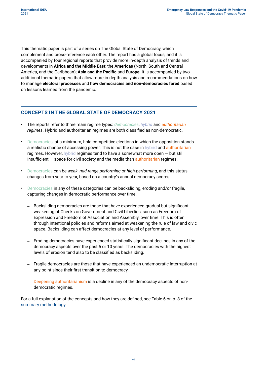This thematic paper is part of a series on The Global State of Democracy, which complement and cross-reference each other. The report has a global focus, and it is accompanied by four regional reports that provide more in-depth analysis of trends and developments in **[Africa and the Middle East](https://doi.org/10.31752/idea.2021.94)**; the **[Americas](https://doi.org/10.31752/idea.2021.93)** (North, South and Central America, and the Caribbean); **[Asia and the Pacific](https://doi.org/10.31752/idea.2021.95)** and **[Europe](https://doi.org/10.31752/idea.2021.96)**. It is accompanied by two additional thematic papers that allow more in-depth analysis and recommendations on how to manage **[electoral processes](https://doi.org/10.31752/idea.2021.85)** and **[how democracies and non-democracies fared](https://doi.org/10.31752/idea.2021.86)** based on lessons learned from the pandemic.

#### **CONCEPTS IN THE GLOBAL STATE OF DEMOCRACY 2021**

- The reports refer to three main regime types: *democracies*, *hybrid* and *authoritarian regimes*. Hybrid and authoritarian regimes are both classified as non-democratic.
- Democracies, at a minimum, hold competitive elections in which the opposition stands a realistic chance of accessing power. This is not the case in hybrid and authoritarian regimes. However, hybrid regimes tend to have a somewhat more open — but still insufficient  $-$  space for civil society and the media than authoritarian regimes.
- Democracies can be *weak*, *mid-range performing* or *high-performing*, and this status changes from year to year, based on a country's annual democracy scores.
- Democracies in any of these categories can be backsliding, eroding and/or fragile, capturing changes in democratic performance over time.
	- Backsliding democracies are those that have experienced gradual but significant weakening of Checks on Government and Civil Liberties, such as Freedom of Expression and Freedom of Association and Assembly, over time. This is often through intentional policies and reforms aimed at weakening the rule of law and civic space. Backsliding can affect democracies at any level of performance.
	- Eroding democracies have experienced statistically significant declines in any of the democracy aspects over the past 5 or 10 years. The democracies with the highest levels of erosion tend also to be classified as backsliding.
	- Fragile democracies are those that have experienced an undemocratic interruption at any point since their first transition to democracy.
	- Deepening authoritarianism is a decline in any of the democracy aspects of nondemocratic regimes.

For a full explanation of the concepts and how they are defined, see Table 6 on p. 8 of the [summary methodology](https://www.idea.int/gsod-indices/sites/default/files/gsod-methodology-november-2020.pdf).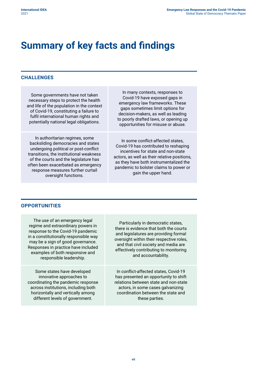### <span id="page-8-0"></span>**Summary of key facts and findings**

#### **CHALLENGES**

Some governments have not taken necessary steps to protect the health and life of the population in the context of Covid-19, constituting a failure to fulfil international human rights and potentially national legal obligations.

In authoritarian regimes, some backsliding democracies and states undergoing political or post-conflict transitions, the institutional weakness of the courts and the legislature has often been exacerbated as emergency response measures further curtail oversight functions.

In many contexts, responses to Covid-19 have exposed gaps in emergency law frameworks. These gaps sometimes limit options for decision-makers, as well as leading to poorly drafted laws, or opening up opportunities for misuse or abuse.

In some conflict-affected states, Covid-19 has contributed to reshaping incentives for state and non-state actors, as well as their relative positions, as they have both instrumentalized the pandemic to bolster claims to power or gain the upper hand.

#### **OPPORTUNITIES**

The use of an emergency legal regime and extraordinary powers in response to the Covid-19 pandemic in a constitutionally responsible way may be a sign of good governance. Responses in practice have included examples of both responsive and responsible leadership.

Some states have developed innovative approaches to coordinating the pandemic response across institutions, including both horizontally and vertically among different levels of government.

Particularly in democratic states, there is evidence that both the courts and legislatures are providing formal oversight within their respective roles, and that civil society and media are effectively contributing to monitoring and accountability.

In conflict-affected states, Covid-19 has presented an opportunity to shift relations between state and non-state actors, in some cases galvanizing coordination between the state and these parties.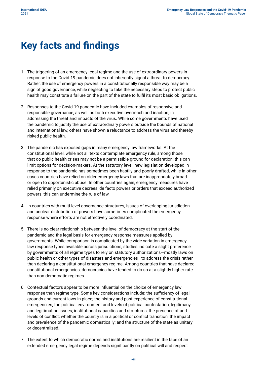### <span id="page-9-0"></span>**Key facts and findings**

- 1. The triggering of an emergency legal regime and the use of extraordinary powers in response to the Covid-19 pandemic does not inherently signal a threat to democracy. Rather, the use of emergency powers in a constitutionally responsible way may be a sign of good governance, while neglecting to take the necessary steps to protect public health may constitute a failure on the part of the state to fulfil its most basic obligations.
- 2. Responses to the Covid-19 pandemic have included examples of responsive and responsible governance, as well as both executive overreach and inaction, in addressing the threat and impacts of the virus. While some governments have used the pandemic to justify the use of extraordinary powers outside the bounds of national and international law, others have shown a reluctance to address the virus and thereby risked public health.
- 3. The pandemic has exposed gaps in many emergency law frameworks. At the constitutional level, while not all texts contemplate emergency rule, among those that do public health crises may not be a permissible ground for declaration; this can limit options for decision-makers. At the statutory level, new legislation developed in response to the pandemic has sometimes been hastily and poorly drafted, while in other cases countries have relied on older emergency laws that are inappropriately broad or open to opportunistic abuse. In other countries again, emergency measures have relied primarily on executive decrees, de facto powers or orders that exceed authorized powers; this can undermine the rule of law.
- 4. In countries with multi-level governance structures, issues of overlapping jurisdiction and unclear distribution of powers have sometimes complicated the emergency response where efforts are not effectively coordinated.
- 5. There is no clear relationship between the level of democracy at the start of the pandemic and the legal basis for emergency response measures applied by governments. While comparison is complicated by the wide variation in emergency law response types available across jurisdictions, studies indicate a slight preference by governments of all regime types to rely on statutory authorizations—mostly laws on public health or other types of disasters and emergencies—to address the crisis rather than declaring a constitutional emergency regime. Among countries that have declared constitutional emergencies, democracies have tended to do so at a slightly higher rate than non-democratic regimes.
- 6. Contextual factors appear to be more influential on the choice of emergency law response than regime type. Some key considerations include: the sufficiency of legal grounds and current laws in place; the history and past experience of constitutional emergencies; the political environment and levels of political contestation, legitimacy and legitimation issues; institutional capacities and structures; the presence of and levels of conflict; whether the country is in a political or conflict transition; the impact and prevalence of the pandemic domestically; and the structure of the state as unitary or decentralized.
- 7. The extent to which democratic norms and institutions are resilient in the face of an extended emergency legal regime depends significantly on political will and respect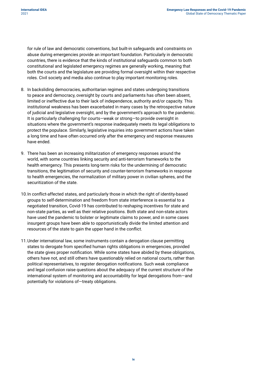for rule of law and democratic conventions, but built-in safeguards and constraints on abuse during emergencies provide an important foundation. Particularly in democratic countries, there is evidence that the kinds of institutional safeguards common to both constitutional and legislated emergency regimes are generally working, meaning that both the courts and the legislature are providing formal oversight within their respective roles. Civil society and media also continue to play important monitoring roles.

- 8. In backsliding democracies, authoritarian regimes and states undergoing transitions to peace and democracy, oversight by courts and parliaments has often been absent, limited or ineffective due to their lack of independence, authority and/or capacity. This institutional weakness has been exacerbated in many cases by the retrospective nature of judicial and legislative oversight, and by the government's approach to the pandemic. It is particularly challenging for courts—weak or strong—to provide oversight in situations where the government's response inadequately meets its legal obligations to protect the populace. Similarly, legislative inquiries into government actions have taken a long time and have often occurred only after the emergency and response measures have ended.
- 9. There has been an increasing militarization of emergency responses around the world, with some countries linking security and anti-terrorism frameworks to the health emergency. This presents long-term risks for the undermining of democratic transitions, the legitimation of security and counter-terrorism frameworks in response to health emergencies, the normalization of military power in civilian spheres, and the securitization of the state.
- 10.In conflict-affected states, and particularly those in which the right of identity-based groups to self-determination and freedom from state interference is essential to a negotiated transition, Covid-19 has contributed to reshaping incentives for state and non-state parties, as well as their relative positions. Both state and non-state actors have used the pandemic to bolster or legitimate claims to power, and in some cases insurgent groups have been able to opportunistically divide the limited attention and resources of the state to gain the upper hand in the conflict.
- 11.Under international law, some instruments contain a derogation clause permitting states to derogate from specified human rights obligations in emergencies, provided the state gives proper notification. While some states have abided by these obligations, others have not, and still others have questionably relied on national courts, rather than political representatives, to register derogation notifications. Such weak compliance and legal confusion raise questions about the adequacy of the current structure of the international system of monitoring and accountability for legal derogations from—and potentially for violations of—treaty obligations.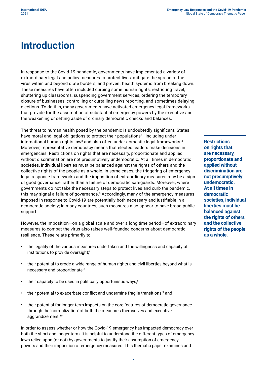### <span id="page-11-0"></span>**Introduction**

In response to the Covid-19 pandemic, governments have implemented a variety of extraordinary legal and policy measures to protect lives, mitigate the spread of the virus within and beyond state borders, and prevent health systems from breaking down. These measures have often included curbing some human rights, restricting travel, shuttering up classrooms, suspending government services, ordering the temporary closure of businesses, controlling or curtailing news reporting, and sometimes delaying elections. To do this, many governments have activated emergency legal frameworks that provide for the assumption of substantial emergency powers by the executive and the weakening or setting aside of ordinary democratic checks and balances.<sup>1</sup>

The threat to human health posed by the pandemic is undoubtedly significant. States have moral and legal obligations to protect their populations<sup>2</sup>—including under international human rights law<sup>3</sup> and also often under domestic legal frameworks.<sup>4</sup> Moreover, representative democracy means that elected leaders make decisions in emergencies. Restrictions on rights that are necessary, proportionate and applied without discrimination are not presumptively undemocratic. At all times in democratic societies, individual liberties must be balanced against the rights of others and the collective rights of the people as a whole. In some cases, the triggering of emergency legal response frameworks and the imposition of extraordinary measures may be a sign of good governance, rather than a failure of democratic safeguards. Moreover, where governments do not take the necessary steps to protect lives and curb the pandemic, this may signal a failure of governance.5 Accordingly, many of the emergency measures imposed in response to Covid-19 are potentially both necessary and justifiable in a democratic society; in many countries, such measures also appear to have broad public support.

However, the imposition—on a global scale and over a long time period—of extraordinary measures to combat the virus also raises well-founded concerns about democratic resilience. These relate primarily to:

- the legality of the various measures undertaken and the willingness and capacity of institutions to provide oversight;<sup>6</sup>
- their potential to erode a wide range of human rights and civil liberties beyond what is necessary and proportionate;<sup>7</sup>
- their capacity to be used in politically opportunistic ways;<sup>8</sup>
- their potential to exacerbate conflict and undermine fragile transitions;<sup>9</sup> and
- their potential for longer-term impacts on the core features of democratic governance through the 'normalization' of both the measures themselves and executive aggrandizement.<sup>10</sup>

In order to assess whether or how the Covid-19 emergency has impacted democracy over both the short and longer term, it is helpful to understand the different types of emergency laws relied upon (or not) by governments to justify their assumption of emergency powers and their imposition of emergency measures. This thematic paper examines and

**Restrictions on rights that are necessary, proportionate and applied without discrimination are not presumptively undemocratic. At all times in democratic societies, individual liberties must be balanced against the rights of others and the collective rights of the people as a whole.**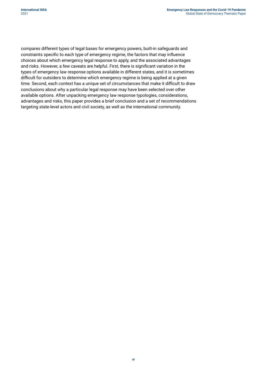compares different types of legal bases for emergency powers, built-in safeguards and constraints specific to each type of emergency regime, the factors that may influence choices about which emergency legal response to apply, and the associated advantages and risks. However, a few caveats are helpful. First, there is significant variation in the types of emergency law response options available in different states, and it is sometimes difficult for outsiders to determine which emergency regime is being applied at a given time. Second, each context has a unique set of circumstances that make it difficult to draw conclusions about why a particular legal response may have been selected over other available options. After unpacking emergency law response typologies, considerations, advantages and risks, this paper provides a brief conclusion and a set of recommendations targeting state-level actors and civil society, as well as the international community.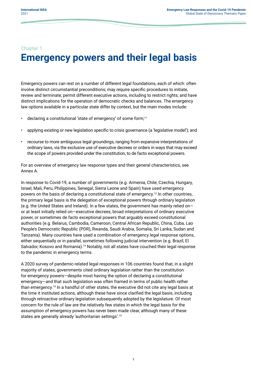#### <span id="page-13-0"></span>Chapter 1

# **Emergency powers and their legal basis**

Emergency powers can rest on a number of different legal foundations, each of which: often involve distinct circumstantial preconditions; may require specific procedures to initiate, review and terminate; permit different executive actions, including to restrict rights; and have distinct implications for the operation of democratic checks and balances. The emergency law options available in a particular state differ by context, but the main modes include:

- declaring a constitutional 'state of emergency' of some form;<sup>11</sup>
- applying existing or new legislation specific to crisis governance (a 'legislative model'); and
- recourse to more ambiguous legal groundings, ranging from expansive interpretations of ordinary laws, via the exclusive use of executive decrees or orders in ways that may exceed the scope of powers provided under the constitution, to de facto exceptional powers.

For an overview of emergency law response types and their general characteristics, see Annex A.

In response to Covid-19, a number of governments (e.g. Armenia, Chile, Czechia, Hungary, Israel, Mali, Peru, Philippines, Senegal, Sierra Leone and Spain) have used emergency powers on the basis of declaring a constitutional state of emergency.<sup>12</sup> In other countries, the primary legal basis is the delegation of exceptional powers through ordinary legislation (e.g. the United States and Ireland). In a few states, the government has mainly relied on or at least initially relied on—executive decrees, broad interpretations of ordinary executive power, or sometimes de facto exceptional powers that arguably exceed constitutional authorities (e.g. Belarus, Cambodia, Cameroon, Central African Republic, China, Cuba, Lao People's Democratic Republic (PDR), Rwanda, Saudi Arabia, Somalia, Sri Lanka, Sudan and Tanzania). Many countries have used a combination of emergency legal response options, either sequentially or in parallel, sometimes following judicial intervention (e.g. Brazil, El Salvador, Kosovo and Romania).<sup>13</sup> Notably, not all states have couched their legal response to the pandemic in emergency terms.

A 2020 survey of pandemic-related legal responses in 106 countries found that, in a slight majority of states, governments cited ordinary legislation rather than the constitution for emergency powers—despite most having the option of declaring a constitutional emergency—and that such legislation was often framed in terms of public health rather than emergency.<sup>14</sup> In a handful of other states, the executive did not cite any legal basis at the time it instituted actions, although these have since clarified the legal basis, including through retroactive ordinary legislation subsequently adopted by the legislature. Of most concern for the rule of law are the relatively few states in which the legal basis for the assumption of emergency powers has never been made clear, although many of these states are generally already 'authoritarian settings'.<sup>15</sup>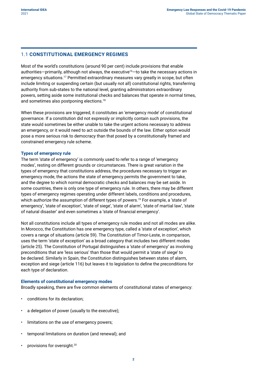#### <span id="page-14-0"></span>1.1 **CONSTITUTIONAL EMERGENCY REGIMES**

Most of the world's constitutions (around 90 per cent) include provisions that enable authorities—primarily, although not always, the executive<sup>16</sup>—to take the necessary actions in emergency situations.<sup>17</sup> Permitted extraordinary measures vary greatly in scope, but often include limiting or suspending certain (but usually not all) constitutional rights, transferring authority from sub-states to the national level, granting administrators extraordinary powers, setting aside some institutional checks and balances that operate in normal times, and sometimes also postponing elections.<sup>18</sup>

When these provisions are triggered, it constitutes an 'emergency mode' of constitutional governance. If a constitution did not expressly or implicitly contain such provisions, the state would sometimes be either unable to take the urgent actions necessary to address an emergency, or it would need to act outside the bounds of the law. Either option would pose a more serious risk to democracy than that posed by a constitutionally framed and constrained emergency rule scheme.

#### **Types of emergency rule**

The term 'state of emergency' is commonly used to refer to a range of 'emergency modes', resting on different grounds or circumstances. There is great variation in the types of emergency that constitutions address, the procedures necessary to trigger an emergency mode, the actions the state of emergency permits the government to take, and the degree to which normal democratic checks and balances may be set aside. In some countries, there is only one type of emergency rule. In others, there may be different types of emergency regimes operating under different labels, conditions and procedures, which authorize the assumption of different types of powers.<sup>19</sup> For example, a 'state of emergency', 'state of exception', 'state of siege', 'state of alarm', 'state of martial law', 'state of natural disaster' and even sometimes a 'state of financial emergency'.

Not all constitutions include all types of emergency rule modes and not all modes are alike. In Morocco, the Constitution has one emergency type, called a 'state of exception', which covers a range of situations (article 59). The Constitution of Timor-Leste, in comparison, uses the term 'state of exception' as a broad category that includes two different modes (article 25). The Constitution of Portugal distinguishes a 'state of emergency' as involving preconditions that are 'less serious' than those that would permit a 'state of siege' to be declared. Similarly in Spain, the Constitution distinguishes between states of alarm, exception and siege (article 116) but leaves it to legislation to define the preconditions for each type of declaration.

#### **Elements of constitutional emergency modes**

Broadly speaking, there are five common elements of constitutional states of emergency:

- conditions for its declaration;
- a delegation of power (usually to the executive);
- limitations on the use of emergency powers;
- temporal limitations on duration (and renewal); and
- provisions for oversight.<sup>20</sup>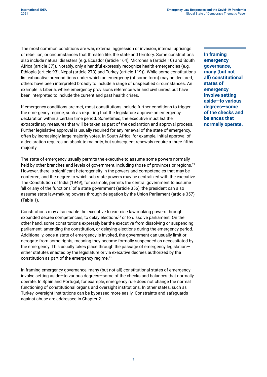The most common conditions are war, external aggression or invasion, internal uprisings or rebellion, or circumstances that threaten life, the state and territory. Some constitutions also include natural disasters (e.g. Ecuador (article 164), Micronesia (article 10) and South Africa (article 37)). Notably, only a handful expressly recognize health emergencies (e.g. Ethiopia (article 93), Nepal (article 273) and Turkey (article 119)). While some constitutions list exhaustive preconditions under which an emergency (of some form) may be declared, others have been interpreted broadly to include a range of unspecified circumstances. An example is Liberia, where emergency provisions reference war and civil unrest but have been interpreted to include the current and past health crises.

If emergency conditions are met, most constitutions include further conditions to trigger the emergency regime, such as requiring that the legislature approve an emergency declaration within a certain time period. Sometimes, the executive must list the extraordinary measures that will be taken as part of the declaration and approval process. Further legislative approval is usually required for any renewal of the state of emergency, often by increasingly large majority votes. In South Africa, for example, initial approval of a declaration requires an absolute majority, but subsequent renewals require a three-fifths majority.

The state of emergency usually permits the executive to assume some powers normally held by other branches and levels of government, including those of provinces or regions.<sup>21</sup> However, there is significant heterogeneity in the powers and competencies that may be conferred, and the degree to which sub-state powers may be centralized with the executive. The Constitution of India (1949), for example, permits the central government to assume 'all or any of the functions' of a state government (article 356); the president can also assume state law-making powers through delegation by the Union Parliament (article 357) (Table 1).

Constitutions may also enable the executive to exercise law-making powers through expanded decree competencies, to delay elections<sup>22</sup> or to dissolve parliament. On the other hand, some constitutions expressly bar the executive from dissolving or suspending parliament, amending the constitution, or delaying elections during the emergency period. Additionally, once a state of emergency is invoked, the government can usually limit or derogate from some rights, meaning they become formally suspended as necessitated by the emergency. This usually takes place through the passage of emergency legislation either statutes enacted by the legislature or via executive decrees authorized by the constitution as part of the emergency regime.<sup>23</sup>

In framing emergency governance, many (but not all) constitutional states of emergency involve setting aside—to various degrees—some of the checks and balances that normally operate. In Spain and Portugal, for example, emergency rule does not change the normal functioning of constitutional organs and oversight institutions. In other states, such as Turkey, oversight institutions can be bypassed more easily. Constraints and safeguards against abuse are addressed in Chapter 2.

**In framing emergency governance, many (but not all) constitutional states of emergency involve setting aside—to various degrees—some of the checks and balances that normally operate.**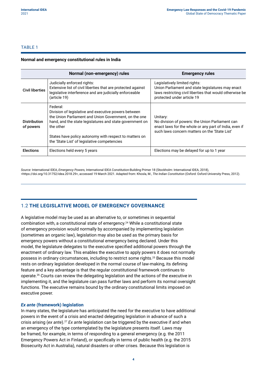#### <span id="page-16-0"></span>TABLE 1

#### **Normal and emergency constitutional rules in India**

|                                  | Normal (non-emergency) rules                                                                                                                                                                                                                                                                                 | <b>Emergency rules</b>                                                                                                                                                       |
|----------------------------------|--------------------------------------------------------------------------------------------------------------------------------------------------------------------------------------------------------------------------------------------------------------------------------------------------------------|------------------------------------------------------------------------------------------------------------------------------------------------------------------------------|
| <b>Civil liberties</b>           | Judicially enforced rights:<br>Extensive list of civil liberties that are protected against<br>legislative interference and are judicially enforceable<br>(article 19)                                                                                                                                       | Legislatively limited rights:<br>Union Parliament and state legislatures may enact<br>laws restricting civil liberties that would otherwise be<br>protected under article 19 |
| <b>Distribution</b><br>of powers | Federal:<br>Division of legislative and executive powers between<br>the Union Parliament and Union Government, on the one<br>hand, and the state legislatures and state government on<br>the other<br>States have policy autonomy with respect to matters on<br>the 'State List' of legislative competencies | Unitary:<br>No division of powers: the Union Parliament can<br>enact laws for the whole or any part of India, even if<br>such laws concern matters on the 'State List'       |
| <b>Elections</b>                 | Elections held every 5 years                                                                                                                                                                                                                                                                                 | Elections may be delayed for up to 1 year                                                                                                                                    |

*Source:* International IDEA, *Emergency Powers,* International IDEA Constitution-Building Primer 18 (Stockholm: International IDEA, 2018), [<https://doi.org/10.31752/idea.2018.29](https://doi.org/10.31752/idea.2018.29)>, accessed 19 March 2021. Adapted from: Khosla, M., *The Indian Constitution* (Oxford: Oxford University Press, 2012).

#### 1.2 **THE LEGISLATIVE MODEL OF EMERGENCY GOVERNANCE**

A legislative model may be used as an alternative to, or sometimes in sequential combination with, a constitutional state of emergency.<sup>24</sup> While a constitutional state of emergency provision would normally by accompanied by implementing legislation (sometimes an organic law), legislation may also be used as the primary basis for emergency powers without a constitutional emergency being declared. Under this model, the legislature delegates to the executive specified additional powers through the enactment of ordinary law. This enables the executive to apply powers it does not normally possess in ordinary circumstances, including to restrict some rights.25 Because this model rests on ordinary legislation developed in the normal course of law-making, its defining feature and a key advantage is that the regular constitutional framework continues to operate.<sup>26</sup> Courts can review the delegating legislation and the actions of the executive in implementing it, and the legislature can pass further laws and perform its normal oversight functions. The executive remains bound by the ordinary constitutional limits imposed on executive power.

#### *Ex ante* **(framework) legislation**

In many states, the legislature has anticipated the need for the executive to have additional powers in the event of a crisis and enacted delegating legislation in advance of such a crisis arising (*ex ante*).<sup>27</sup> *Ex ante* legislation can be triggered by the executive if and when an emergency of the type contemplated by the legislature presents itself. Laws may be framed, for example, in terms of responding to a general emergency (e.g. the 2011 Emergency Powers Act in Finland), or specifically in terms of public health (e.g. the 2015 Biosecurity Act in Australia), natural disasters or other crises. Because this legislation is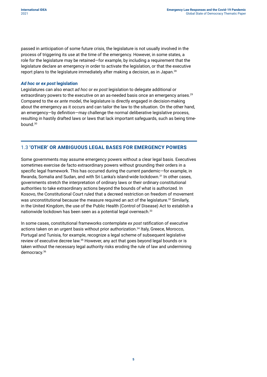<span id="page-17-0"></span>passed in anticipation of some future crisis, the legislature is not usually involved in the process of triggering its use at the time of the emergency. However, in some states, a role for the legislature may be retained—for example, by including a requirement that the legislature declare an emergency in order to activate the legislation, or that the executive report plans to the legislature immediately after making a decision, as in Japan.<sup>28</sup>

#### *Ad hoc* **or** *ex post* **legislation**

Legislatures can also enact *ad hoc* or *ex post* legislation to delegate additional or extraordinary powers to the executive on an as-needed basis once an emergency arises.<sup>29</sup> Compared to the *ex ante* model, the legislature is directly engaged in decision-making about the emergency as it occurs and can tailor the law to the situation. On the other hand, an emergency—by definition—may challenge the normal deliberative legislative process, resulting in hastily drafted laws or laws that lack important safeguards, such as being timebound.<sup>30</sup>

#### 1.3 **'OTHER' OR AMBIGUOUS LEGAL BASES FOR EMERGENCY POWERS**

Some governments may assume emergency powers without a clear legal basis. Executives sometimes exercise de facto extraordinary powers without grounding their orders in a specific legal framework. This has occurred during the current pandemic—for example, in Rwanda, Somalia and Sudan, and with Sri Lanka's island-wide lockdown.<sup>31</sup> In other cases, governments stretch the interpretation of ordinary laws or their ordinary constitutional authorities to take extraordinary actions beyond the bounds of what is authorized. In Kosovo, the Constitutional Court ruled that a decreed restriction on freedom of movement was unconstitutional because the measure required an act of the legislature.<sup>32</sup> Similarly, in the United Kingdom, the use of the Public Health (Control of Disease) Act to establish a nationwide lockdown has been seen as a potential legal overreach.<sup>33</sup>

In some cases, constitutional frameworks contemplate *ex post* ratification of executive actions taken on an urgent basis without prior authorization.<sup>34</sup> Italy, Greece, Morocco, Portugal and Tunisia, for example, recognize a legal scheme of subsequent legislative review of executive decree law.<sup>35</sup> However, any act that goes beyond legal bounds or is taken without the necessary legal authority risks eroding the rule of law and undermining democracy.<sup>36</sup>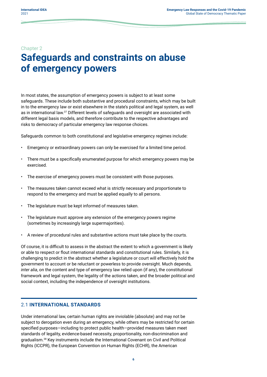#### <span id="page-18-0"></span>Chapter 2

### **Safeguards and constraints on abuse of emergency powers**

In most states, the assumption of emergency powers is subject to at least some safeguards. These include both substantive and procedural constraints, which may be built in to the emergency law or exist elsewhere in the state's political and legal system, as well as in international law.<sup>37</sup> Different levels of safeguards and oversight are associated with different legal basis models, and therefore contribute to the respective advantages and risks to democracy of particular emergency law response choices.

Safeguards common to both constitutional and legislative emergency regimes include:

- Emergency or extraordinary powers can only be exercised for a limited time period.
- There must be a specifically enumerated purpose for which emergency powers may be exercised.
- The exercise of emergency powers must be consistent with those purposes.
- The measures taken cannot exceed what is strictly necessary and proportionate to respond to the emergency and must be applied equally to all persons.
- The legislature must be kept informed of measures taken.
- The legislature must approve any extension of the emergency powers regime (sometimes by increasingly large supermajorities).
- A review of procedural rules and substantive actions must take place by the courts.

Of course, it is difficult to assess in the abstract the extent to which a government is likely or able to respect or flout international standards and constitutional rules. Similarly, it is challenging to predict in the abstract whether a legislature or court will effectively hold the government to account or be reluctant or powerless to provide oversight. Much depends, *inter alia*, on the content and type of emergency law relied upon (if any), the constitutional framework and legal system, the legality of the actions taken, and the broader political and social context, including the independence of oversight institutions.

#### 2.1 **INTERNATIONAL STANDARDS**

Under international law, certain human rights are inviolable (absolute) and may not be subject to derogation even during an emergency, while others may be restricted for certain specified purposes—including to protect public health—provided measures taken meet standards of legality, evidence-based necessity, proportionality, non-discrimination and gradualism.<sup>38</sup> Key instruments include the International Covenant on Civil and Political Rights (ICCPR), the European Convention on Human Rights (ECHR), the American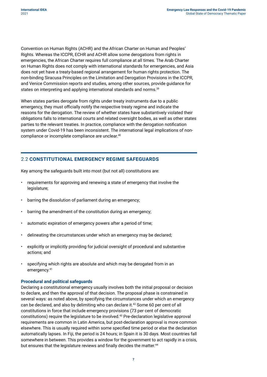<span id="page-19-0"></span>Convention on Human Rights (ACHR) and the African Charter on Human and Peoples' Rights. Whereas the ICCPR, ECHR and ACHR allow some derogations from rights in emergencies, the African Charter requires full compliance at all times. The Arab Charter on Human Rights does not comply with international standards for emergencies, and Asia does not yet have a treaty-based regional arrangement for human rights protection. The non-binding Siracusa Principles on the Limitation and Derogation Provisions in the ICCPR, and Venice Commission reports and studies, among other sources, provide guidance for states on interpreting and applying international standards and norms.<sup>39</sup>

When states parties derogate from rights under treaty instruments due to a public emergency, they must officially notify the respective treaty regime and indicate the reasons for the derogation. The review of whether states have substantively violated their obligations falls to international courts and related oversight bodies, as well as other states parties to the relevant treaties. In practice, compliance with the derogation notification system under Covid-19 has been inconsistent. The international legal implications of noncompliance or incomplete compliance are unclear.<sup>40</sup>

#### 2.2 **CONSTITUTIONAL EMERGENCY REGIME SAFEGUARDS**

Key among the safeguards built into most (but not all) constitutions are:

- requirements for approving and renewing a state of emergency that involve the legislature;
- barring the dissolution of parliament during an emergency;
- barring the amendment of the constitution during an emergency;
- automatic expiration of emergency powers after a period of time;
- delineating the circumstances under which an emergency may be declared;
- explicitly or implicitly providing for judicial oversight of procedural and substantive actions; and
- specifying which rights are absolute and which may be derogated from in an emergency.<sup>41</sup>

#### **Procedural and political safeguards**

Declaring a constitutional emergency usually involves both the initial proposal or decision to declare, and then the approval of that decision. The proposal phase is constrained in several ways: as noted above, by specifying the circumstances under which an emergency can be declared, and also by delimiting who can declare it.<sup>42</sup> Some 60 per cent of all constitutions in force that include emergency provisions (73 per cent of democratic constitutions) require the legislature to be involved.<sup>43</sup> Pre-declaration legislative approval requirements are common in Latin America, but post-declaration approval is more common elsewhere. This is usually required within some specified time period or else the declaration automatically lapses. In Fiji, the period is 24 hours; in Spain it is 30 days. Most countries fall somewhere in between. This provides a window for the government to act rapidly in a crisis, but ensures that the legislature reviews and finally decides the matter.<sup>44</sup>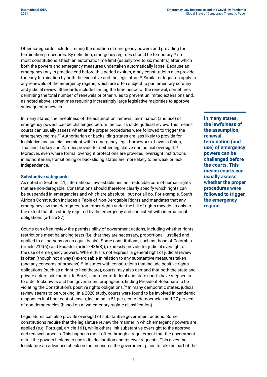Other safeguards include limiting the duration of emergency powers and providing for termination procedures. By definition, emergency regimes should be temporary,<sup>45</sup> so most constitutions attach an automatic time limit (usually two to six months) after which both the powers and emergency measures undertaken automatically lapse. Because an emergency may in practice end before this period expires, many constitutions also provide for early termination by both the executive and the legislature.<sup>46</sup> Similar safeguards apply to any renewals of the emergency regime, which are often subject to parliamentary scrutiny and judicial review. Standards include limiting the time period of the renewal, sometimes delimiting the total number of renewals or other rules to prevent unlimited extensions and, as noted above, sometimes requiring increasingly large legislative majorities to approve subsequent renewals.

In many states, the lawfulness of the assumption, renewal, termination (and use) of emergency powers can be challenged before the courts under judicial review. This means courts can usually assess whether the proper procedures were followed to trigger the emergency regime.<sup>47</sup> Authoritarian or backsliding states are less likely to provide for legislative and judicial oversight within emergency legal frameworks. Laws in China, Thailand, Turkey and Zambia provide for neither legislative nor judicial oversight.<sup>48</sup> Moreover, even where formal oversight protections are provided, oversight institutions in authoritarian, transitioning or backsliding states are more likely to be weak or lack independence.

#### **Substantive safeguards**

As noted in Section 2.1, international law establishes an irreducible core of human rights that are non-derogable. Constitutions should therefore clearly specify which rights can be suspended in emergencies and which are absolute—but not all do. For example, South Africa's Constitution includes a Table of Non-Derogable Rights and mandates that any emergency law that derogates from other rights under the bill of rights may do so only to the extent that it is strictly required by the emergency and consistent with international obligations (article 37).

Courts can often review the permissibility of government actions, including whether rights restrictions meet balancing tests (i.e. that they are necessary, proportional, justified and applied to all persons on an equal basis). Some constitutions, such as those of Colombia (article 214(6)) and Ecuador (article 436(8)), expressly provide for judicial oversight of the use of emergency powers. Where this is not express, a general right of judicial review is often (though not always) exercisable in relation to any substantive measures taken (and any concerns of process).<sup>49</sup> In states with constitutions that include positive rights obligations (such as a right to healthcare), courts may also demand that both the state and private actors take action. In Brazil, a number of federal and state courts have stepped in to order lockdowns and ban government propaganda, finding President Bolsonaro to be violating the Constitution's positive rights obligations.50 In many democratic states, judicial review seems to be working. In a 2020 study, courts were found to be involved in pandemic responses in 41 per cent of cases, including in 51 per cent of democracies and 27 per cent of non-democracies (based on a two-category regime classification).

Legislatures can also provide oversight of substantive government actions. Some constitutions require that the legislature review the manner in which emergency powers are applied (e.g. Portugal, article 161), while others link substantive oversight to the approval and renewal process. This happens most often through a requirement that the government detail the powers it plans to use in its declaration and renewal requests. This gives the legislature an advanced check on the measures the government plans to take as part of the **In many states, the lawfulness of the assumption, renewal, termination (and use) of emergency powers can be challenged before the courts. This means courts can usually assess whether the proper procedures were followed to trigger the emergency regime.**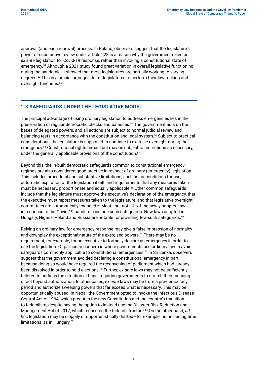<span id="page-21-0"></span>approval (and each renewal) process. In Poland, observers suggest that the legislature's power of substantive review under article 228 is a reason why the government relied on *ex ante* legislation for Covid-19 response, rather than invoking a constitutional state of emergency.<sup>51</sup> Although a 2021 study found great variation in overall legislative functioning during the pandemic, it showed that most legislatures are partially working to varying degrees.52 This is a crucial prerequisite for legislatures to perform their law-making and oversight functions.53

#### 2.3 **SAFEGUARDS UNDER THE LEGISLATIVE MODEL**

The principal advantage of using ordinary legislation to address emergencies lies in the preservation of regular democratic checks and balances.54 The government acts on the bases of delegated powers, and all actions are subject to normal judicial review and balancing tests in accordance with the constitution and legal system.55 Subject to practical considerations, the legislature is supposed to continue to exercise oversight during the emergency.<sup>56</sup> Constitutional rights remain but may be subject to restrictions as necessary, under the generally applicable provisions of the constitution.<sup>57</sup>

Beyond this, the in-built democratic safeguards common to constitutional emergency regimes are also considered good practice in respect of ordinary (emergency) legislation. This includes procedural and substantive limitations, such as preconditions for use, automatic expiration of the legislation itself, and requirements that any measures taken must be necessary, proportionate and equally applicable.<sup>58</sup> Other common safeguards include that the legislature must approve the executive's declaration of the emergency, that the executive must report measures taken to the legislature, and that legislative oversight committees are automatically engaged.59 Most—but not all—of the newly adopted laws in response to the Covid-19 pandemic include such safeguards. New laws adopted in Hungary, Nigeria, Poland and Russia are notable for providing few such safeguards.<sup>60</sup>

Relying on ordinary law for emergency response may give a false impression of normalcy and downplay the exceptional nature of the exercised powers.61 There may be no requirement, for example, for an executive to formally declare an emergency in order to use the legislation. Of particular concern is where governments use ordinary law to avoid safeguards commonly applicable to constitutional emergencies.<sup>62</sup> In Sri Lanka, observers suggest that the government avoided declaring a constitutional emergency in part because doing so would have required the reconvening of parliament which had already been dissolved in order to hold elections.<sup>63</sup> Further, *ex ante* laws may not be sufficiently tailored to address the situation at hand, requiring governments to stretch their meaning or act beyond authorization. In other cases, *ex ante* laws may be from a pre-democracy period and authorize sweeping powers that far exceed what is necessary. This may be opportunistically abused. In Nepal, the Government opted to invoke the Infectious Disease Control Act of 1964, which predates the new Constitution and the country's transition to federalism, despite having the option to instead use the Disaster Risk Reduction and Management Act of 2017, which respected the federal structure.<sup>64</sup> On the other hand, *ad hoc* legislation may be sloppily or opportunistically drafted—for example, not including time limitations, as in Hungary.<sup>65</sup>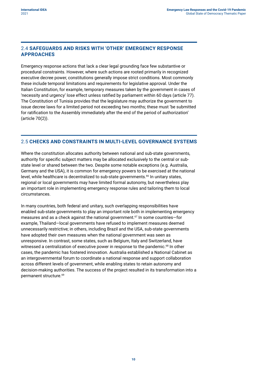#### <span id="page-22-0"></span>2.4 **SAFEGUARDS AND RISKS WITH 'OTHER' EMERGENCY RESPONSE APPROACHES**

Emergency response actions that lack a clear legal grounding face few substantive or procedural constraints. However, where such actions are rooted primarily in recognized executive decree power, constitutions generally impose strict conditions. Most commonly these include temporal limitations and requirements for legislative approval. Under the Italian Constitution, for example, temporary measures taken by the government in cases of 'necessity and urgency' lose effect unless ratified by parliament within 60 days (article 77). The Constitution of Tunisia provides that the legislature may authorize the government to issue decree laws for a limited period not exceeding two months; these must 'be submitted for ratification to the Assembly immediately after the end of the period of authorization' (article 70(2)).

#### 2.5 **CHECKS AND CONSTRAINTS IN MULTI-LEVEL GOVERNANCE SYSTEMS**

Where the constitution allocates authority between national and sub-state governments, authority for specific subject matters may be allocated exclusively to the central or substate level or shared between the two. Despite some notable exceptions (e.g. Australia, Germany and the USA), it is common for emergency powers to be exercised at the national level, while healthcare is decentralized to sub-state governments.<sup>66</sup> In unitary states, regional or local governments may have limited formal autonomy, but nevertheless play an important role in implementing emergency response rules and tailoring them to local circumstances.

In many countries, both federal and unitary, such overlapping responsibilities have enabled sub-state governments to play an important role both in implementing emergency measures and as a check against the national government.<sup>67</sup> In some countries—for example, Thailand—local governments have refused to implement measures deemed unnecessarily restrictive; in others, including Brazil and the USA, sub-state governments have adopted their own measures when the national government was seen as unresponsive. In contrast, some states, such as Belgium, Italy and Switzerland, have witnessed a centralization of executive power in response to the pandemic.<sup>68</sup> In other cases, the pandemic has fostered innovation. Australia established a National Cabinet as an intergovernmental forum to coordinate a national response and support collaboration across different levels of government, while enabling states to retain autonomy and decision-making authorities. The success of the project resulted in its transformation into a permanent structure.<sup>69</sup>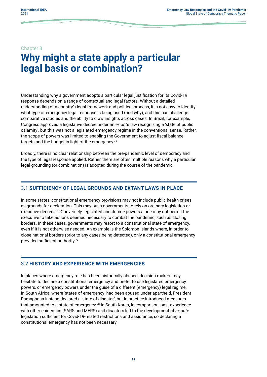#### <span id="page-23-0"></span>Chapter 3

### **Why might a state apply a particular legal basis or combination?**

Understanding why a government adopts a particular legal justification for its Covid-19 response depends on a range of contextual and legal factors. Without a detailed understanding of a country's legal framework and political process, it is not easy to identify what type of emergency legal response is being used (and why), and this can challenge comparative studies and the ability to draw insights across cases. In Brazil, for example, Congress approved a legislative decree under an *ex ante* law recognizing a 'state of public calamity', but this was not a legislated emergency regime in the conventional sense. Rather, the scope of powers was limited to enabling the Government to adjust fiscal balance targets and the budget in light of the emergency.<sup>70</sup>

Broadly, there is no clear relationship between the pre-pandemic level of democracy and the type of legal response applied. Rather, there are often multiple reasons why a particular legal grounding (or combination) is adopted during the course of the pandemic.

#### 3.1 **SUFFICIENCY OF LEGAL GROUNDS AND EXTANT LAWS IN PLACE**

In some states, constitutional emergency provisions may not include public health crises as grounds for declaration. This may push governments to rely on ordinary legislation or executive decrees.<sup>71</sup> Conversely, legislated and decree powers alone may not permit the executive to take actions deemed necessary to combat the pandemic, such as closing borders. In these cases, governments may resort to a constitutional state of emergency, even if it is not otherwise needed. An example is the Solomon Islands where, in order to close national borders (prior to any cases being detected), only a constitutional emergency provided sufficient authority.<sup>72</sup>

#### 3.2 **HISTORY AND EXPERIENCE WITH EMERGENCIES**

In places where emergency rule has been historically abused, decision-makers may hesitate to declare a constitutional emergency and prefer to use legislated emergency powers, or emergency powers under the guise of a different (emergency) legal regime. In South Africa, where 'states of emergency' had been abused under apartheid, President Ramaphosa instead declared a 'state of disaster', but in practice introduced measures that amounted to a state of emergency.<sup>73</sup> In South Korea, in comparison, past experience with other epidemics (SARS and MERS) and disasters led to the development of *ex ante* legislation sufficient for Covid-19-related restrictions and assistance, so declaring a constitutional emergency has not been necessary.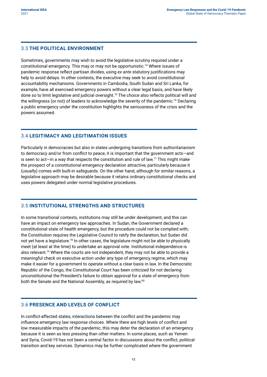#### <span id="page-24-0"></span>3.3 **THE POLITICAL ENVIRONMENT**

Sometimes, governments may wish to avoid the legislative scrutiny required under a constitutional emergency. This may or may not be opportunistic.<sup>74</sup> Where issues of pandemic response reflect partisan divides, using *ex ante* statutory justifications may help to avoid delays. In other contexts, the executive may seek to avoid constitutional accountability mechanisms. Governments in Cambodia, South Sudan and Sri Lanka, for example, have all exercised emergency powers without a clear legal basis, and have likely done so to limit legislative and judicial oversight.<sup>75</sup> The choice also reflects political will and the willingness (or not) of leaders to acknowledge the severity of the pandemic.76 Declaring a public emergency under the constitution highlights the seriousness of the crisis and the powers assumed.

#### 3.4 **LEGITIMACY AND LEGITIMATION ISSUES**

Particularly in democracies but also in states undergoing transitions from authoritarianism to democracy and/or from conflict to peace, it is important that the government acts—and is seen to act—in a way that respects the constitution and rule of law.<sup>77</sup> This might make the prospect of a constitutional emergency declaration attractive, particularly because it (usually) comes with built-in safeguards. On the other hand, although for similar reasons, a legislative approach may be desirable because it retains ordinary constitutional checks and uses powers delegated under normal legislative procedures.

#### 3.5 **INSTITUTIONAL STRENGTHS AND STRUCTURES**

In some transitional contexts, institutions may still be under development, and this can have an impact on emergency law approaches. In Sudan, the Government declared a constitutional state of health emergency, but the procedure could not be complied with; the Constitution requires the Legislative Council to ratify the declaration, but Sudan did not yet have a legislature.<sup>78</sup> In other cases, the legislature might not be able to physically meet (at least at the time) to undertake an approval vote. Institutional independence is also relevant.<sup>79</sup> Where the courts are not independent, they may not be able to provide a meaningful check on executive action under any type of emergency regime, which may make it easier for a government to operate without a clear basis in law. In the Democratic Republic of the Congo, the Constitutional Court has been criticized for not declaring unconstitutional the President's failure to obtain approval for a state of emergency from both the Senate and the National Assembly, as required by law.<sup>80</sup>

#### 3.6 **PRESENCE AND LEVELS OF CONFLICT**

In conflict-affected states, interactions between the conflict and the pandemic may influence emergency law response choices. Where there are high levels of conflict and low measurable impacts of the pandemic, this may deter the declaration of an emergency because it is seen as less pressing than other matters. In some places, such as Yemen and Syria, Covid-19 has not been a central factor in discussions about the conflict, political transition and key services. Dynamics may be further complicated where the government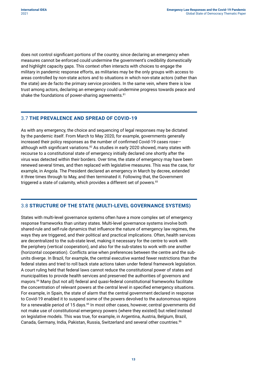<span id="page-25-0"></span>does not control significant portions of the country, since declaring an emergency when measures cannot be enforced could undermine the government's credibility domestically and highlight capacity gaps. This context often interacts with choices to engage the military in pandemic response efforts, as militaries may be the only groups with access to areas controlled by non-state actors and to situations in which non-state actors (rather than the state) are de facto the primary service providers. In the same vein, where there is low trust among actors, declaring an emergency could undermine progress towards peace and shake the foundations of power-sharing agreements.<sup>81</sup>

#### 3.7 **THE PREVALENCE AND SPREAD OF COVID-19**

As with any emergency, the choice and sequencing of legal responses may be dictated by the pandemic itself. From March to May 2020, for example, governments generally increased their policy responses as the number of confirmed Covid-19 cases rose although with significant variations. $82$  As studies in early 2020 showed, many states with recourse to a constitutional state of emergency initially declared one shortly after the virus was detected within their borders. Over time, the state of emergency may have been renewed several times, and then replaced with legislative measures. This was the case, for example, in Angola. The President declared an emergency in March by decree, extended it three times through to May, and then terminated it. Following that, the Government triggered a state of calamity, which provides a different set of powers.<sup>83</sup>

#### 3.8 **STRUCTURE OF THE STATE (MULTI-LEVEL GOVERNANCE SYSTEMS)**

States with multi-level governance systems often have a more complex set of emergency response frameworks than unitary states. Multi-level governance systems involve both shared-rule and self-rule dynamics that influence the nature of emergency law regimes, the ways they are triggered, and their political and practical implications. Often, health services are decentralized to the sub-state level, making it necessary for the centre to work with the periphery (vertical cooperation), and also for the sub-states to work with one another (horizontal cooperation). Conflicts arise when preferences between the centre and the subunits diverge. In Brazil, for example, the central executive wanted fewer restrictions than the federal states and tried to roll back state actions taken under federal framework legislation. A court ruling held that federal laws cannot reduce the constitutional power of states and municipalities to provide health services and preserved the authorities of governors and mayors.<sup>84</sup> Many (but not all) federal and quasi-federal constitutional frameworks facilitate the concentration of relevant powers at the central level in specified emergency situations. For example, in Spain, the state of alarm that the central government declared in response to Covid-19 enabled it to suspend some of the powers devolved to the autonomous regions for a renewable period of 15 days.<sup>85</sup> In most other cases, however, central governments did not make use of constitutional emergency powers (where they existed) but relied instead on legislative models. This was true, for example, in Argentina, Austria, Belgium, Brazil, Canada, Germany, India, Pakistan, Russia, Switzerland and several other countries.<sup>86</sup>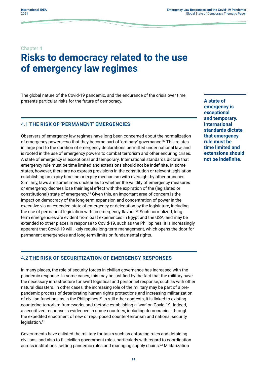#### <span id="page-26-0"></span>Chapter 4

### **Risks to democracy related to the use of emergency law regimes**

The global nature of the Covid-19 pandemic, and the endurance of the crisis over time, presents particular risks for the future of democracy.

#### 4.1 **THE RISK OF 'PERMANENT' EMERGENCIES**

Observers of emergency law regimes have long been concerned about the normalization of emergency powers—so that they become part of 'ordinary' governance.<sup>87</sup> This relates in large part to the duration of emergency declarations permitted under national law, and is rooted in the use of emergency powers to combat terrorism and other enduring crises. A state of emergency is exceptional and temporary. International standards dictate that emergency rule must be time limited and extensions should not be indefinite. In some states, however, there are no express provisions in the constitution or relevant legislation establishing an expiry timeline or expiry mechanism with oversight by other branches. Similarly, laws are sometimes unclear as to whether the validity of emergency measures or emergency decrees lose their legal effect with the expiration of the (legislated or constitutional) state of emergency.<sup>88</sup> Given this, an important area of concern is the impact on democracy of the long-term expansion and concentration of power in the executive via an extended state of emergency or delegation by the legislature, including the use of permanent legislation with an emergency flavour.<sup>89</sup> Such normalized, longterm emergencies are evident from past experiences in Egypt and the USA, and may be extended to other places in response to Covid-19, such as the Philippines. It is increasingly apparent that Covid-19 will likely require long-term management, which opens the door for permanent emergencies and long-term limits on fundamental rights.

**A state of emergency is exceptional and temporary. International standards dictate that emergency rule must be time limited and extensions should not be indefinite.**

#### 4.2 **THE RISK OF SECURITIZATION OF EMERGENCY RESPONSES**

In many places, the role of security forces in civilian governance has increased with the pandemic response. In some cases, this may be justified by the fact that the military have the necessary infrastructure for swift logistical and personnel response, such as with other natural disasters. In other cases, the increasing role of the military may be part of a prepandemic process of deteriorating human rights protections and increasing militarization of civilian functions as in the Philippines.<sup>90</sup> In still other contexts, it is linked to existing countering terrorism frameworks and rhetoric establishing a 'war' on Covid-19. Indeed, a securitized response is evidenced in some countries, including democracies, through the expedited enactment of new or repurposed counter-terrorism and national security legislation.<sup>91</sup>

Governments have enlisted the military for tasks such as enforcing rules and detaining civilians, and also to fill civilian government roles, particularly with regard to coordination across institutions, setting pandemic rules and managing supply chains.<sup>92</sup> Militarization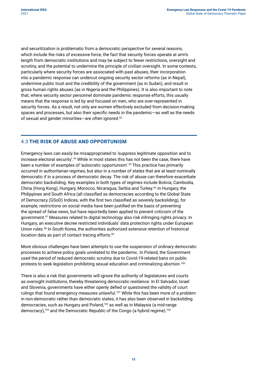<span id="page-27-0"></span>and securitization is problematic from a democratic perspective for several reasons, which include the risks of excessive force, the fact that security forces operate at arm's length from democratic institutions and may be subject to fewer restrictions, oversight and scrutiny, and the potential to undermine the principle of civilian oversight. In some contexts, particularly where security forces are associated with past abuses, their incorporation into a pandemic response can undercut ongoing security sector reforms (as in Nepal), undermine public trust and the credibility of the government (as in Sudan), and result in gross human rights abuses (as in Nigeria and the Philippines). It is also important to note that, where security sector personnel dominate pandemic response efforts, this usually means that the response is led by and focused on men, who are over-represented in security forces. As a result, not only are women effectively excluded from decision-making spaces and processes, but also their specific needs in the pandemic—as well as the needs of sexual and gender minorities—are often ignored.<sup>93</sup>

#### 4.3 **THE RISK OF ABUSE AND OPPORTUNISM**

Emergency laws can easily be misappropriated to 'suppress legitimate opposition and to increase electoral security'.<sup>94</sup> While in most states this has not been the case, there have been a number of examples of 'autocratic opportunism'.<sup>95</sup> This practice has primarily occurred in authoritarian regimes, but also in a number of states that are at least nominally democratic if in a process of democratic decay. The risk of abuse can therefore exacerbate democratic backsliding. Key examples in both types of regimes include Bolivia, Cambodia, China (Hong Kong), Hungary, Morocco, Nicaragua, Serbia and Turkey.<sup>96</sup> In Hungary, the Philippines and South Africa (all classified as democracies according to the Global State of Democracy (GSoD) Indices, with the first two classified as severely backsliding), for example, restrictions on social media have been justified on the basis of preventing the spread of false news, but have reportedly been applied to prevent criticism of the government.<sup>97</sup> Measures related to digital technology also risk infringing rights privacy. In Hungary, an executive decree restricted individuals' data protection rights under European Union rules.<sup>98</sup> In South Korea, the authorities authorized extensive retention of historical location data as part of contact tracing efforts.<sup>99</sup>

More obvious challenges have been attempts to use the suspension of ordinary democratic processes to achieve policy goals unrelated to the pandemic. In Poland, the Government used the period of reduced democratic scrutiny due to Covid-19-related bans on public protests to seek legislation prohibiting sexual education and criminalizing abortion.<sup>100</sup>

There is also a risk that governments will ignore the authority of legislatures and courts as oversight institutions, thereby threatening democratic resilience. In El Salvador, Israel and Slovenia, governments have either openly defied or questioned the validity of court rulings that found emergency measures unlawful.<sup>101</sup> While this has been more of a problem in non-democratic rather than democratic states, it has also been observed in backsliding democracies, such as Hungary and Poland,<sup>102</sup> as well as in Malaysia (a mid-range democracy),<sup>103</sup> and the Democratic Republic of the Congo (a hybrid regime).<sup>104</sup>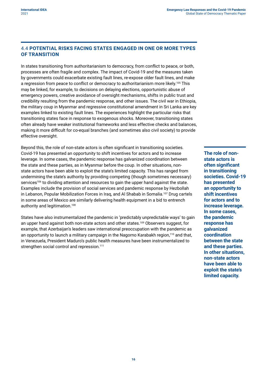#### <span id="page-28-0"></span>4.4 **POTENTIAL RISKS FACING STATES ENGAGED IN ONE OR MORE TYPES OF TRANSITION**

In states transitioning from authoritarianism to democracy, from conflict to peace, or both, processes are often fragile and complex. The impact of Covid-19 and the measures taken by governments could exacerbate existing fault lines, re-expose older fault lines, and make a regression from peace to conflict or democracy to authoritarianism more likely.105 This may be linked, for example, to decisions on delaying elections, opportunistic abuse of emergency powers, creative avoidance of oversight mechanisms, shifts in public trust and credibility resulting from the pandemic response, and other issues. The civil war in Ethiopia, the military coup in Myanmar and regressive constitutional amendment in Sri Lanka are key examples linked to existing fault lines. The experiences highlight the particular risks that transitioning states face in response to exogenous shocks. Moreover, transitioning states often already have weaker institutional frameworks and less effective checks and balances, making it more difficult for co-equal branches (and sometimes also civil society) to provide effective oversight.

Beyond this, the role of non-state actors is often significant in transitioning societies. Covid-19 has presented an opportunity to shift incentives for actors and to increase leverage. In some cases, the pandemic response has galvanized coordination between the state and these parties, as in Myanmar before the coup. In other situations, nonstate actors have been able to exploit the state's limited capacity. This has ranged from undermining the state's authority by providing competing (though sometimes necessary) services<sup>106</sup> to dividing attention and resources to gain the upper hand against the state. Examples include the provision of social services and pandemic response by Hezbollah in Lebanon, Popular Mobilization Forces in Iraq, and Al Shabab in Somalia.<sup>107</sup> Drug cartels in some areas of Mexico are similarly delivering health equipment in a bid to entrench authority and legitimation.<sup>108</sup>

States have also instrumentalized the pandemic in 'predictably unpredictable ways' to gain an upper hand against both non-state actors and other states.<sup>109</sup> Observers suggest, for example, that Azerbaijan's leaders saw international preoccupation with the pandemic as an opportunity to launch a military campaign in the Nagorno Karabakh region,<sup>110</sup> and that, in Venezuela, President Maduro's public health measures have been instrumentalized to strengthen social control and repression.<sup>111</sup>

**The role of nonstate actors is often significant in transitioning societies. Covid-19 has presented an opportunity to shift incentives for actors and to increase leverage. In some cases, the pandemic response has galvanized coordination between the state and these parties. In other situations, non-state actors have been able to exploit the state's limited capacity.**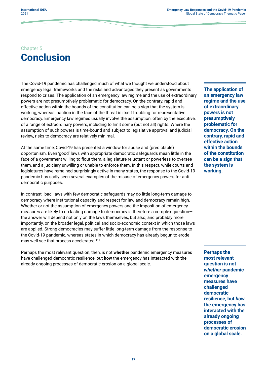### <span id="page-29-0"></span>Chapter 5 **Conclusion**

The Covid-19 pandemic has challenged much of what we thought we understood about emergency legal frameworks and the risks and advantages they present as governments respond to crises. The application of an emergency law regime and the use of extraordinary powers are not presumptively problematic for democracy. On the contrary, rapid and effective action within the bounds of the constitution can be a sign that the system is working, whereas inaction in the face of the threat is itself troubling for representative democracy. Emergency law regimes usually involve the assumption, often by the executive, of a range of extraordinary powers, including to limit some (but not all) rights. Where the assumption of such powers is time-bound and subject to legislative approval and judicial review, risks to democracy are relatively minimal.

At the same time, Covid-19 has presented a window for abuse and (predictable) opportunism. Even 'good' laws with appropriate democratic safeguards mean little in the face of a government willing to flout them, a legislature reluctant or powerless to oversee them, and a judiciary unwilling or unable to enforce them. In this respect, while courts and legislatures have remained surprisingly active in many states, the response to the Covid-19 pandemic has sadly seen several examples of the misuse of emergency powers for antidemocratic purposes.

In contrast, 'bad' laws with few democratic safeguards may do little long-term damage to democracy where institutional capacity and respect for law and democracy remain high. Whether or not the assumption of emergency powers and the imposition of emergency measures are likely to do lasting damage to democracy is therefore a complex question the answer will depend not only on the laws themselves, but also, and probably more importantly, on the broader legal, political and socio-economic context in which those laws are applied. Strong democracies may suffer little long-term damage from the response to the Covid-19 pandemic, whereas states in which democracy has already begun to erode may well see that process accelerated.<sup>112</sup>

Perhaps the most relevant question, then, is not **whether** pandemic emergency measures have challenged democratic resilience, but **how** the emergency has interacted with the already ongoing processes of democratic erosion on a global scale.

**The application of an emergency law regime and the use of extraordinary powers is not presumptively problematic for democracy. On the contrary, rapid and effective action within the bounds of the constitution can be a sign that the system is working.**

**Perhaps the most relevant question is not**  *whether* **pandemic emergency measures have challenged democratic resilience, but** *how* **the emergency has interacted with the already ongoing processes of democratic erosion on a global scale.**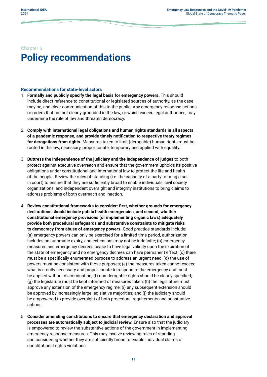### <span id="page-30-0"></span>Chapter 6 **Policy recommendations**

#### **Recommendations for state-level actors**

- 1. **Formally and publicly specify the legal basis for emergency powers.** This should include direct reference to constitutional or legislated sources of authority, as the case may be, and clear communication of this to the public. Any emergency response actions or orders that are not clearly grounded in the law, or which exceed legal authorities, may undermine the rule of law and threaten democracy.
- 2. **Comply with international legal obligations and human rights standards in all aspects of a pandemic response, and provide timely notification to respective treaty regimes for derogations from rights.** Measures taken to limit (derogable) human rights must be rooted in the law, necessary, proportionate, temporary and applied with equality.
- 3. **Buttress the independence of the judiciary and the independence of judges** to both protect against executive overreach and ensure that the government upholds its positive obligations under constitutional and international law to protect the life and health of the people. Review the rules of standing (i.e. the capacity of a party to bring a suit in court) to ensure that they are sufficiently broad to enable individuals, civil society organizations, and independent oversight and integrity institutions to bring claims to address problems of both overreach and inaction.
- 4. **Review constitutional frameworks to consider: first, whether grounds for emergency declarations should include public health emergencies; and second, whether constitutional emergency provisions (or implementing organic laws) adequately provide both procedural safeguards and substantive constraints to mitigate risks to democracy from abuse of emergency powers.** Good practice standards include: (a) emergency powers can only be exercised for a limited time period, authorization includes an automatic expiry, and extensions may not be indefinite; (b) emergency measures and emergency decrees cease to have legal validity upon the expiration of the state of emergency and no emergency decrees can have permanent effect; (c) there must be a specifically enumerated purpose to address an urgent need; (d) the use of powers must be consistent with those purposes; (e) the measures taken cannot exceed what is strictly necessary and proportionate to respond to the emergency and must be applied without discrimination; (f) non-derogable rights should be clearly specified; (g) the legislature must be kept informed of measures taken; (h) the legislature must approve any extension of the emergency regime; (i) any subsequent extension should be approved by increasingly large legislative majorities; and (j) the judiciary should be empowered to provide oversight of both procedural requirements and substantive actions.
- 5. **Consider amending constitutions to ensure that emergency declaration and approval processes are automatically subject to judicial review.** Ensure also that the judiciary is empowered to review the substantive actions of the government in implementing emergency response measures. This may involve reviewing rules of standing and considering whether they are sufficiently broad to enable individual claims of constitutional rights violations.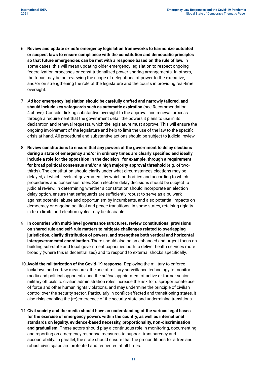- 6. **Review and update** *ex ante* **emergency legislation frameworks to harmonize outdated or suspect laws to ensure compliance with the constitution and democratic principles so that future emergencies can be met with a response based on the rule of law.** In some cases, this will mean updating older emergency legislation to respect ongoing federalization processes or constitutionalized power-sharing arrangements. In others, the focus may be on reviewing the scope of delegations of power to the executive, and/or on strengthening the role of the legislature and the courts in providing real-time oversight.
- 7. *Ad hoc* **emergency legislation should be carefully drafted and narrowly tailored, and should include key safeguards such as automatic expiration** (see Recommendation 4 above). Consider linking substantive oversight to the approval and renewal process through a requirement that the government detail the powers it plans to use in its declaration and renewal requests, which the legislature must approve. This will ensure the ongoing involvement of the legislature and help to limit the use of the law to the specific crisis at hand. All procedural and substantive actions should be subject to judicial review.
- 8. **Review constitutions to ensure that any powers of the government to delay elections during a state of emergency and/or in ordinary times are clearly specified and ideally include a role for the opposition in the decision—for example, through a requirement for broad political consensus and/or a high majority approval threshold** (e.g. of twothirds). The constitution should clarify under what circumstances elections may be delayed, at which levels of government, by which authorities and according to which procedures and consensus rules. Such election delay decisions should be subject to judicial review. In determining whether a constitution should incorporate an election delay option, ensure that safeguards are sufficiently robust to serve as a bulwark against potential abuse and opportunism by incumbents, and also potential impacts on democracy or ongoing political and peace transitions. In some states, retaining rigidity in term limits and election cycles may be desirable.
- 9. **In countries with multi-level governance structures, review constitutional provisions on shared rule and self-rule matters to mitigate challenges related to overlapping jurisdiction, clarify distribution of powers, and strengthen both vertical and horizontal intergovernmental coordination.** There should also be an enhanced and urgent focus on building sub-state and local government capacities both to deliver health services more broadly (where this is decentralized) and to respond to external shocks specifically.
- 10.**Avoid the militarization of the Covid-19 response.** Deploying the military to enforce lockdown and curfew measures, the use of military surveillance technology to monitor media and political opponents, and the *ad hoc* appointment of active or former senior military officials to civilian administration roles increase the risk for disproportionate use of force and other human rights violations, and may undermine the principle of civilian control over the security sector. Particularly in conflict-affected and transitioning states, it also risks enabling the (re)emergence of the security state and undermining transitions.
- 11.**Civil society and the media should have an understanding of the various legal bases for the exercise of emergency powers within the country, as well as international standards on legality, evidence-based necessity, proportionality, non-discrimination and gradualism.** These actors should play a continuous role in monitoring, documenting and reporting on emergency response measures to support transparency and accountability. In parallel, the state should ensure that the preconditions for a free and robust civic space are protected and respected at all times.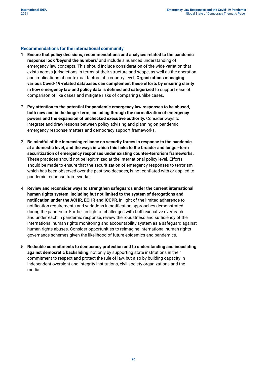#### **Recommendations for the international community**

- 1. **Ensure that policy decisions, recommendations and analyses related to the pandemic response look 'beyond the numbers'** and include a nuanced understanding of emergency law concepts. This should include consideration of the wide variation that exists across jurisdictions in terms of their structure and scope, as well as the operation and implications of contextual factors at a country level. **Organizations managing various Covid-19-related databases can complement these efforts by ensuring clarity in how emergency law and policy data is defined and categorized** to support ease of comparison of like cases and mitigate risks of comparing unlike cases.
- 2. **Pay attention to the potential for pandemic emergency law responses to be abused, both now and in the longer term, including through the normalization of emergency powers and the expansion of unchecked executive authority.** Consider ways to integrate and draw lessons between policy advising and planning on pandemic emergency response matters and democracy support frameworks.
- 3. **Be mindful of the increasing reliance on security forces in response to the pandemic at a domestic level, and the ways in which this links to the broader and longer-term securitization of emergency responses under existing counter-terrorism frameworks.** These practices should not be legitimized at the international policy level. Efforts should be made to ensure that the securitization of emergency responses to terrorism, which has been observed over the past two decades, is not conflated with or applied to pandemic response frameworks.
- 4. **Review and reconsider ways to strengthen safeguards under the current international human rights system, including but not limited to the system of derogations and notification under the ACHR, ECHR and ICCPR**, in light of the limited adherence to notification requirements and variations in notification approaches demonstrated during the pandemic. Further, in light of challenges with both executive overreach and underreach in pandemic response, review the robustness and sufficiency of the international human rights monitoring and accountability system as a safeguard against human rights abuses. Consider opportunities to reimagine international human rights governance schemes given the likelihood of future epidemics and pandemics.
- 5. **Redouble commitments to democracy protection and to understanding and inoculating against democratic backsliding**, not only by supporting state institutions in their commitment to respect and protect the rule of law, but also by building capacity in independent oversight and integrity institutions, civil society organizations and the media.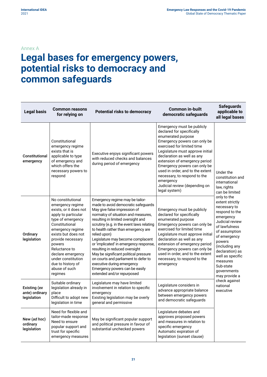#### <span id="page-33-0"></span>Annex A

### **Legal bases for emergency powers, potential risks to democracy and common safeguards**

| <b>Legal basis</b>                            | <b>Common reasons</b><br>for relying on                                                                                                                                                                                                                                                                              | <b>Potential risks to democracy</b>                                                                                                                                                                                                                                                                                                                                                                                                                                                                                                                                                     | <b>Common in-built</b><br>democratic safeguards                                                                                                                                                                                                                                                                                                                                                                   | <b>Safeguards</b><br>applicable to<br>all legal bases                                                                                                                                                                                                                          |
|-----------------------------------------------|----------------------------------------------------------------------------------------------------------------------------------------------------------------------------------------------------------------------------------------------------------------------------------------------------------------------|-----------------------------------------------------------------------------------------------------------------------------------------------------------------------------------------------------------------------------------------------------------------------------------------------------------------------------------------------------------------------------------------------------------------------------------------------------------------------------------------------------------------------------------------------------------------------------------------|-------------------------------------------------------------------------------------------------------------------------------------------------------------------------------------------------------------------------------------------------------------------------------------------------------------------------------------------------------------------------------------------------------------------|--------------------------------------------------------------------------------------------------------------------------------------------------------------------------------------------------------------------------------------------------------------------------------|
| Constitutional<br>emergency                   | Constitutional<br>emergency regime<br>exists that is<br>applicable to type<br>of emergency and<br>which offers the<br>necessary powers to<br>respond                                                                                                                                                                 | Executive enjoys significant powers<br>with reduced checks and balances<br>during period of emergency                                                                                                                                                                                                                                                                                                                                                                                                                                                                                   | Emergency must be publicly<br>declared for specifically<br>enumerated purpose<br>Emergency powers can only be<br>exercised for limited time<br>Legislature must approve initial<br>declaration as well as any<br>extension of emergency period<br>Emergency powers can only be<br>used in order, and to the extent<br>necessary, to respond to the<br>emergency<br>Judicial review (depending on<br>legal system) | Under the<br>constitution and<br>international<br>law, rights<br>can be limited                                                                                                                                                                                                |
| Ordinary<br>legislation                       | No constitutional<br>emergency regime<br>exists, or it does not<br>apply to particular<br>type of emergency<br>Constitutional<br>emergency regime<br>exists but does not<br>provide necessary<br>powers<br>Reluctance to<br>declare emergency<br>under constitution<br>due to history of<br>abuse of such<br>regimes | Emergency regime may be tailor-<br>made to avoid democratic safeguards<br>May give false impression of<br>normalcy of situation and measures,<br>resulting in limited oversight and<br>scrutiny (e.g. in the event laws relating<br>to health rather than emergency are<br>relied upon)<br>Legislature may become complacent<br>or 'implicated' in emergency response,<br>resulting in reduced oversight<br>May be significant political pressure<br>on courts and parliament to defer to<br>executive during emergency<br>Emergency powers can be easily<br>extended and/or repurposed | Emergency must be publicly<br>declared for specifically<br>enumerated purpose<br>Emergency powers can only be<br>exercised for limited time<br>Legislature must approve initial<br>declaration as well as any<br>extension of emergency period<br>Emergency powers can only be<br>used in order, and to the extent<br>necessary, to respond to the<br>emergency                                                   | only to the<br>extent strictly<br>necessary to<br>respond to the<br>emergency<br>Judicial review<br>of lawfulness<br>of assumption<br>of emergency<br>powers<br>(including any<br>declaration) as<br>well as specific<br>measures<br>Sub-state<br>governments<br>may provide a |
| Existing (ex<br>ante) ordinary<br>legislation | Suitable ordinary<br>legislation already in<br>place<br>Difficult to adopt new<br>legislation in time                                                                                                                                                                                                                | Legislature may have limited<br>involvement in relation to specific<br>emergency<br>Existing legislation may be overly<br>general and permissive                                                                                                                                                                                                                                                                                                                                                                                                                                        | Legislature considers in<br>advance appropriate balance<br>between emergency powers<br>and democratic safeguards                                                                                                                                                                                                                                                                                                  | check against<br>national<br>executive                                                                                                                                                                                                                                         |
| New (ad hoc)<br>ordinary<br>legislation       | Need for flexible and<br>tailor-made response<br>Need to ensure<br>popular support and<br>trust for specific<br>emergency measures                                                                                                                                                                                   | May be significant popular support<br>and political pressure in favour of<br>substantial unchecked powers                                                                                                                                                                                                                                                                                                                                                                                                                                                                               | Legislature debates and<br>approves proposed powers<br>and measures in relation to<br>specific emergency<br>Automatic expiration of<br>legislation (sunset clause)                                                                                                                                                                                                                                                |                                                                                                                                                                                                                                                                                |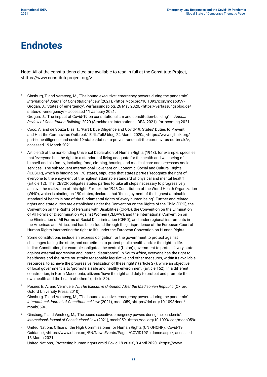### <span id="page-34-0"></span>**Endnotes**

Note: All of the constitutions cited are available to read in full at the Constitute Project, <[https://www.constituteproject.org/>](https://www.constituteproject.org/).

- Ginsburg, T. and Versteeg, M., 'The bound executive: emergency powers during the pandemic', *International Journal of Constitutional Law* (2021), <https://doi.org/10.1093/icon/moab059>. Grogan, J., 'States of emergency', Verfassungsblog, 26 May 2020, <https://verfassungsblog.de/ states-of-emergency/>, accessed 11 January 2021. Grogan, J., 'The impact of Covid-19 on constitutionalism and constitution-building', in *Annual Review of Constitution-Building*: 2020 (Stockholm: International IDEA, 2021), forthcoming 2021.
- <sup>2</sup> Coco, A. and de Souza Dias, T., 'Part I: Due Diligence and Covid-19: States' Duties to Prevent and Halt the Coronavirus Outbreak', EJIL:Talk! blog, 24 March 2020a, [<https://www.ejiltalk.org/](https://www.ejiltalk.org/part-i-due-diligence-and-covid-19-states-duties-to-prevent-and-halt-the-coronavirus-outbreak/) [part-i-due-diligence-and-covid-19-states-duties-to-prevent-and-halt-the-coronavirus-outbreak/](https://www.ejiltalk.org/part-i-due-diligence-and-covid-19-states-duties-to-prevent-and-halt-the-coronavirus-outbreak/)>, accessed 19 March 2021.
- <sup>3</sup> Article 25 of the non-binding Universal Declaration of Human Rights (1948), for example, specifies that 'everyone has the right to a standard of living adequate for the health and well-being of himself and his family, including food, clothing, housing and medical care and necessary social services'. The subsequent International Covenant on Economic, Social and Cultural Rights (ICESCR), which is binding on 170 states, stipulates that states parties 'recognize the right of everyone to the enjoyment of the highest attainable standard of physical and mental health' (article 12). The ICESCR obligates states parties to take all steps necessary to progressively achieve the realization of this right. Further, the 1948 Constitution of the World Health Organization (WHO), which is binding on 190 states, declares that 'the enjoyment of the highest attainable standard of health is one of the fundamental rights of every human being'. Further and related rights and state duties are established under the Convention on the Rights of the Child (CRC), the Convention on the Rights of Persons with Disabilities (CRPD), the Convention on the Elimination of All Forms of Discrimination Against Women (CEDAW), and the International Convention on the Elimination of All Forms of Racial Discrimination (CERD), and under regional instruments in the Americas and Africa, and has been found through the jurisprudence of the European Court of Human Rights interpreting the right to life under the European Convention on Human Rights.
- <sup>4</sup> Some constitutions include an express obligation for the government to protect against challenges facing the state, and sometimes to protect public health and/or the right to life. India's Constitution, for example, obligates the central (Union) government to protect 'every state against external aggression and internal disturbance'. In South Africa, everyone has the right to healthcare and the 'state must take reasonable legislative and other measures, within its available resources, to achieve the progressive realization of these rights' (article 27), while an objective of local government is to 'promote a safe and healthy environment' (article 152). In a different construction, in North Macedonia, citizens 'have the right and duty to protect and promote their own health and the health of others' (article 39).
- <sup>5</sup> Posner, E. A. and Vermuele, A., *The Executive Unbound: After the Madisonian Republic* (Oxford: Oxford University Press, 2010). Ginsburg, T. and Versteeg, M., 'The bound executive: emergency powers during the pandemic', *International Journal of Constitutional Law* (2021), moab059, <https://doi.org/10.1093/icon/ moab059>.
- <sup>6</sup> Ginsburg, T. and Versteeg, M., 'The bound executive: emergency powers during the pandemic', *International Journal of Constitutional Law* (2021), moab059, <https://doi.org/10.1093/icon/moab059>.
- <sup>7</sup> United Nations Office of the High Commissioner for Human Rights (UN OHCHR), 'Covid-19 Guidance', <https://www.ohchr.org/EN/NewsEvents/Pages/COVID19Guidance.aspx>, accessed 18 March 2021.

United Nations, 'Protecting human rights amid Covid-19 crisis', 9 April 2020, <https://www.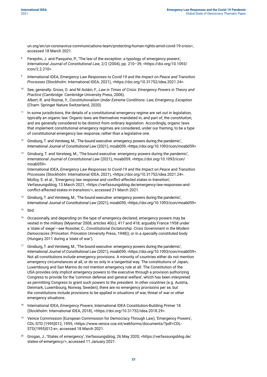un.org/en/un-coronavirus-communications-team/protecting-human-rights-amid-covid-19-crisis>, accessed 18 March 2021.

- Ferejohn, J. and Pasquino, P., 'The law of the exception: a typology of emergency powers', *International Journal of Constitutional Law*, 2/2 (2004), pp. 210–39, <[https://doi.org/10.1093/](https://doi.org/10.1093/icon/2.2.210) [icon/2.2.210>](https://doi.org/10.1093/icon/2.2.210).
- <sup>9</sup> International IDEA, *Emergency Law Responses to Covid-19 and the Impact on Peace and Transition Processes* (Stockholm: International IDEA, 2021), <https://doi.org/10.31752/idea.2021.24>.
- <sup>10</sup> See, generally: Gross, O. and Ní Aoláin, F., *Law in Times of Crisis: Emergency Powers in Theory and Practice* (Cambridge: Cambridge University Press, 2006). Albert, R. and Roznai, Y., *Constitutionalism Under Extreme Conditions: Law, Emergency, Exception* (Cham: Springer Nature Switzerland, 2020).
- <sup>11</sup> In some jurisdictions, the details of a constitutional emergency regime are set out in legislation, typically an organic law. Organic laws are themselves mandated in, and part of, the constitution, and are generally considered to be distinct from ordinary legislation. Accordingly, organic laws that implement constitutional emergency regimes are considered, under our framing, to be a type of constitutional emergency law response, rather than a legislative one.
- <sup>12</sup> Ginsburg, T. and Versteeg, M., 'The bound executive: emergency powers during the pandemic', *International Journal of Constitutional Law* (2021), moab059, <https://doi.org/10.1093/icon/moab059>.
- <sup>13</sup> Ginsburg, T. and Versteeg, M., 'The bound executive: emergency powers during the pandemic', *International Journal of Constitutional Law* (2021), moab059, <https://doi.org/10.1093/icon/ moab059>.

International IDEA, *Emergency Law Responses to Covid-19 and the Impact on Peace and Transition Processes* (Stockholm: International IDEA, 2021), <https://doi.org/10.31752/idea.2021.24>. Molloy, S. et al., 'Emergency law response and conflict-affected states in transition', Verfassungsblog, 13 March 2021, <https://verfassungsblog.de/emergency-law-responses-andconflict-affected-states-in-transition/>, accessed 21 March 2021.

- <sup>14</sup> Ginsburg, T. and Versteeg, M., 'The bound executive: emergency powers during the pandemic', *International Journal of Constitutional Law* (2021), moab059, <https://doi.org/10.1093/icon/moab059>.
- $15$  Ihid.
- <sup>16</sup> Occasionally, and depending on the type of emergency declared, emergency powers may be vested in the military (Myanmar 2008, articles 40(c), 417 and 418; arguably France 1958 under a 'state of siege'—see Rossiter, C., *Constitutional Dictatorship: Crisis Government in the Modern Democracies* (Princeton: Princeton University Press, 1948)); or in a specially constituted body (Hungary 2011 during a 'state of war').
- <sup>17</sup> Ginsburg, T. and Versteeg, M., 'The bound executive: emergency powers during the pandemic', *International Journal of Constitutional Law* (2021), moab059, <https://doi.org/10.1093/icon/moab059>. Not all constitutions include emergency provisions. A minority of countries either do not mention emergency circumstances at all, or do so only in a tangential way. The constitutions of Japan, Luxembourg and San Marino do not mention emergency rule at all. The Constitution of the USA provides only implicit emergency powers to the executive through a provision authorizing Congress to provide for the 'common defense and general welfare', which has been interpreted as permitting Congress to grant such powers to the president. In other countries (e.g. Austria, Denmark, Luxembourg, Norway, Sweden), there are no emergency provisions per se, but the constitutions include provisions to be applied in situations of war, threat of war or other emergency situations.
- <sup>18</sup> International IDEA, *Emergency Powers*, International IDEA Constitution-Building Primer 18 (Stockholm: International IDEA, 2018), <https://doi.org/10.31752/idea.2018.29>.
- <sup>19</sup> Venice Commission (European Commission for Democracy Through Law), 'Emergency Powers', CDL-STD (1995)012, 1995, [<https://www.venice.coe.int/webforms/documents/?pdf=CDL-](https://www.venice.coe.int/webforms/documents/?pdf=CDL-STD(1995)012-e)[STD\(1995\)012-e](https://www.venice.coe.int/webforms/documents/?pdf=CDL-STD(1995)012-e)>, accessed 18 March 2021.
- <sup>20</sup> Grogan, J., 'States of emergency', Verfassungsblog, 26 May 2020, <https://verfassungsblog.de/ states-of-emergency/>, accessed 11 January 2021.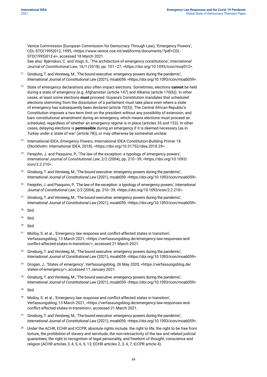Venice Commission (European Commission for Democracy Through Law), 'Emergency Powers', CDL-STD(1995)012, 1995, [<https://www.venice.coe.int/webforms/documents/?pdf=CDL-](https://www.venice.coe.int/webforms/documents/?pdf=CDL-STD(1995)012-e)[STD\(1995\)012-e](https://www.venice.coe.int/webforms/documents/?pdf=CDL-STD(1995)012-e)>, accessed 18 March 2021.

See also: Bjørnskov, C. and Voigt, S., 'The architecture of emergency constitutions', *International Journal of Constitutional Law*, 16/1 (2018), pp. 101–27, <[https://doi.org/10.1093/icon/moy012>](https://doi.org/10.1093/icon/moy012).

- <sup>21</sup> Ginsburg, T. and Versteeg, M., 'The bound executive: emergency powers during the pandemic'. *International Journal of Constitutional Law* (2021), moab059, <https://doi.org/10.1093/icon/moab059>.
- <sup>22</sup> State of emergency declarations also often impact elections. Sometimes, elections **cannot** be held during a state of emergency (e.g. Afghanistan (article 147) and Albania (article 170(6)). In other cases, at least some elections **must** proceed. Guyana's Constitution mandates that scheduled elections stemming from the dissolution of a parliament must take place even where a state of emergency has subsequently been declared (article 70(5)). The Central African Republic's Constitution imposes a two-term limit on the president without any possibility of extension, and bars constitutional amendment during an emergency, which means elections must proceed as scheduled, regardless of whether an emergency regime is in place (articles 35 and 153). In other cases, delaying elections is **permissible** during an emergency if it is deemed necessary (as in Turkey under a 'state of war' (article 78)), or may otherwise be somewhat unclear.
- <sup>23</sup> International IDEA, *Emergency Powers*, International IDEA Constitution-Building Primer 18 (Stockholm: International IDEA, 2018), <https://doi.org/10.31752/idea.2018.29>.
- Ferejohn, J. and Pasquino, P., 'The law of the exception: a typology of emergency powers', *International Journal of Constitutional Law*, 2/2 (2004), pp. 210–39, <https://doi.org/10.1093/ icon/2.2.210>.
- <sup>25</sup> Ginsburg, T. and Versteeg, M., 'The bound executive: emergency powers during the pandemic', *International Journal of Constitutional Law* (2021), moab059, <https://doi.org/10.1093/icon/moab059>.
- <sup>26</sup> Ferejohn, J. and Pasquino, P., 'The law of the exception: a typology of emergency powers', *International Journal of Constitutional Law*, 2/2 (2004), pp. 210–39, <<https://doi.org/10.1093/icon/2.2.210>>.
- $27$  Ginsburg, T. and Versteeg, M., 'The bound executive: emergency powers during the pandemic', *International Journal of Constitutional Law* (2021), moab059, <https://doi.org/10.1093/icon/moab059>.
- <sup>28</sup> Ibid.
- $29$  Ibid.
- $30$  Ibid.
- <sup>31</sup> Molloy, S. et al., 'Emergency law response and conflict-affected states in transition', Verfassungsblog, 13 March 2021, <https://verfassungsblog.de/emergency-law-responses-andconflict-affected-states-in-transition/>, accessed 21 March 2021.
- <sup>32</sup> Ginsburg, T. and Versteeg, M., 'The bound executive: emergency powers during the pandemic', *International Journal of Constitutional Law* (2021), moab059, <https://doi.org/10.1093/icon/moab059>.
- <sup>33</sup> Grogan, J., 'States of emergency', Verfassungsblog, 26 May 2020, <https://verfassungsblog.de/ states-of-emergency/>, accessed 11 January 2021.
- <sup>34</sup> Ginsburg, T. and Versteeg, M., 'The bound executive: emergency powers during the pandemic', *International Journal of Constitutional Law* (2021), moab059, <https://doi.org/10.1093/icon/moab059>.
- <sup>35</sup> Ibid.
- <sup>36</sup> Molloy, S. et al., 'Emergency law response and conflict-affected states in transition', Verfassungsblog, 13 March 2021, <https://verfassungsblog.de/emergency-law-responses-andconflict-affected-states-in-transition>, accessed 21 March 2021.
- <sup>37</sup> Ginsburg, T. and Versteeg, M., 'The bound executive: emergency powers during the pandemic', *International Journal of Constitutional Law* (2021), moab059, <https://doi.org/10.1093/icon/moab059>.
- Under the ACHR, ECHR and ICCPR, absolute rights include: the right to life, the right to be free from torture, the prohibition of slavery and servitude, the non-retroactivity of the law and related judicial guarantees, the right to recognition of legal personality, and freedom of thought, conscience and religion (ACHR articles 3, 4, 5, 6, 9, 12; ECHR articles 2, 3, 4, 7; ICCPR article 4).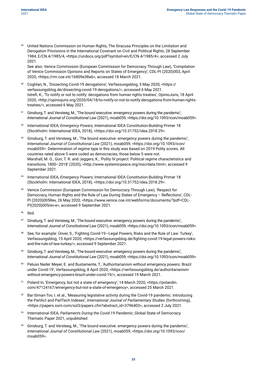<sup>39</sup> United Nations Commission on Human Rights, The Siracusa Principles on the Limitation and Derogation Provisions in the International Covenant on Civil and Political Rights, 28 September 1984, E/CN.4/1985/4, <https://undocs.org/pdf?symbol=en/E/CN.4/1985/4>, accessed 2 July 2021.

See also: Venice Commission (European Commission for Democracy Through Law), 'Compilation of Venice Commission Opinions and Reports on States of Emergency', CDL-PI (2020)003, April 2020, <https://rm.coe.int/16809e38a6>, accessed 18 March 2021.

- <sup>40</sup> Coghlan, N., 'Dissecting Covid-19 derogations', Verfassungsblog, 5 May 2020, <https:// verfassungsblog.de/dissecting-covid-19-derogations/>, accessed 6 May 2021. Istrefi, K., 'To notify or not to notify: derogations from human rights treaties', OpinioJuris, 18 April 2020, <http://opiniojuris.org/2020/04/18/to-notify-or-not-to-notify-derogations-from-human-rightstreaties/>, accessed 6 May 2021.
- <sup>41</sup> Ginsburg, T. and Versteeg, M., 'The bound executive: emergency powers during the pandemic', *International Journal of Constitutional Law* (2021), moab059, <https://doi.org/10.1093/icon/moab059>.
- <sup>42</sup> International IDEA, *Emergency Powers,* International IDEA Constitution-Building Primer 18 (Stockholm: International IDEA, 2018), <[https://doi.](https://doi.org/10.31752/idea.2018.29)org/10.31752/idea.2018.29>.
- <sup>43</sup> Ginsburg, T. and Versteeg, M., 'The bound executive: emergency powers during the pandemic', *International Journal of Constitutional Law* (2021), moab059, <https://doi.org/10.1093/icon/ moab059>. Determination of regime type in this study was based on 2019 Polity scores. All countries rated above 5 were coded as democracies, those below 5 were not. Marshall, M. G., Gurr, T. R. and Jaggers, K., 'Polity IV project: Political regime characteristics and transitions, 1800–2018' (2020), [<http://www.systemicpeace.org/inscrdata.html>](http://www.systemicpeace.org/inscrdata.html), accessed 9 September 2021.
- <sup>44</sup> International IDEA, *Emergency Powers,* International IDEA Constitution-Building Primer 18 (Stockholm: International IDEA, 2018), <[https://doi.](https://doi.org/10.31752/idea.2018.29)org/10.31752/idea.2018.29>.
- <sup>45</sup> Venice Commission (European Commission for Democracy Through Law), 'Respect for Democracy, Human Rights and the Rule of Law During States of Emergency – Reflections', CDL-PI (2020)005Rev, 26 May 2020, <[https://www.venice.coe.int/webforms/documents/?pdf=CDL-](https://www.venice.coe.int/webforms/documents/?pdf=CDL-PI(2020)005rev-e)[PI\(2020\)005rev-e>](https://www.venice.coe.int/webforms/documents/?pdf=CDL-PI(2020)005rev-e), accessed 9 September 2021.
- <sup>46</sup> Ibid.
- <sup>47</sup> Ginsburg, T. and Versteeg, M., 'The bound executive: emergency powers during the pandemic', *International Journal of Constitutional Law* (2021), moab059, <https://doi.org/10.1093/icon/moab059>.
- <sup>48</sup> See, for example: Ünver, S., 'Fighting Covid-19—Legal Powers, Risks and the Rule of Law: Turkey', Verfassungsblog, 15 April 2020, <[https://verfassungsblog.de/fighting-covid-19-legal-powers-risks](https://verfassungsblog.de/fighting-covid-19-legal-powers-risks-and-the-rule-of-law-turkey/)[and-the-rule-of-law-turkey/>](https://verfassungsblog.de/fighting-covid-19-legal-powers-risks-and-the-rule-of-law-turkey/), accessed 9 September 2021.
- <sup>49</sup> Ginsburg, T. and Versteeg, M., 'The bound executive: emergency powers during the pandemic', *International Journal of Constitutional Law* (2021), moab059, <https://doi.org/10.1093/icon/moab059>.
- <sup>50</sup> Peluso Neder Meyer, E. and Bustamente, T., 'Authoritarianism without emergency powers: Brazil under Covid-19', Verfassungsblog, 8 April 2020, <https://verfassungsblog.de/authoritarianismwithout-emergency-powers-brazil-under-covid-19/>, accessed 19 March 2021.
- <sup>51</sup> Poland In, 'Emergency, but not a state of emergency', 14 March 2020, <https://polandin. com/47124167/emergency-but-not-a-state-of-emergency>, accessed 25 March 2021.
- <sup>52</sup> Bar-Siman-Tov, I. et al., 'Measuring legislative activity during the Covid-19 pandemic: Introducing the ParlAct and ParlTech Indexes', *International Journal of Parliamentary Studies* (forthcoming), <https://papers.ssrn.com/sol3/papers.cfm?abstract\_id=3796403>, accessed 2 July 2021.
- <sup>53</sup> International IDEA, *Parliaments During the Covid-19 Pandemic*, Global State of Democracy Thematic Paper 2021, unpublished
- Ginsburg, T. and Versteeg, M., 'The bound executive: emergency powers during the pandemic', *International Journal of Constitutional Law* (2021), moab059, <https://doi.org/10.1093/icon/ moab059>.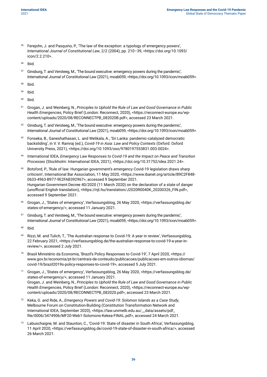<sup>55</sup> Ferejohn, J. and Pasquino, P., 'The law of the exception: a typology of emergency powers', *International Journal of Constitutional Law*, 2/2 (2004), pp. 210–39, <https://doi.org/10.1093/ icon/2.2.210>.

<sup>56</sup> Ibid.

- <sup>57</sup> Ginsburg, T. and Versteeg, M., 'The bound executive: emergency powers during the pandemic', *International Journal of Constitutional Law* (2021), moab059, <https://doi.org/10.1093/icon/moab059>.
- <sup>58</sup> Ibid.
- <sup>59</sup> Ibid.
- $60$  Ibid.
- <sup>61</sup> Grogan, J. and Weinberg, N., *Principles to Uphold the Rule of Law and Good Governance in Public Health Emergencies*, Policy Brief (London: Reconnect, 2020), <[https://reconnect-europe.eu/wp](https://reconnect-europe.eu/wp-content/uploads/2020/08/RECONNECTPB_082020B.pdf)[content/uploads/2020/08/RECONNECTPB\\_082020B.pdf>](https://reconnect-europe.eu/wp-content/uploads/2020/08/RECONNECTPB_082020B.pdf), accessed 23 March 2021.
- $62$  Ginsburg, T. and Versteeg, M., 'The bound executive: emergency powers during the pandemic', *International Journal of Constitutional Law* (2021), moab059, <https://doi.org/10.1093/icon/moab059>.
- <sup>63</sup> Fonseka, B., Ganeshathasan, L. and Welikala, A., 'Sri Lanka: pandemic-catalyzed democratic backsliding', in V. V. Ramraj (ed.), *Covid-19 in Asia: Law and Policy Contexts* (Oxford: Oxford University Press, 2021), <https://doi.org/10.1093/oso/9780197553831.003.0024>.
- <sup>64</sup> International IDEA, *Emergency Law Responses to Covid-19 and the Impact on Peace and Transition Processes* (Stockholm: International IDEA, 2021), <https://doi.org/10.31752/idea.2021.24>.
- <sup>65</sup> Botsford, P., 'Rule of law: Hungarian government's emergency Covid-19 legislation draws sharp criticism', International Bar Association, 11 May 2020, [<https://www.ibanet.org/article/B9C2F848-](https://www.ibanet.org/article/B9C2F848-0633-4963-B977-9E2FAB392967) [0633-4963-B977-9E2FAB392967>](https://www.ibanet.org/article/B9C2F848-0633-4963-B977-9E2FAB392967), accessed 9 September 2021. Hungarian Government Decree 40/2020 (11 March 2020) on the declaration of a state of danger (unofficial English translation), [<https://njt.hu/translation/J2020R0040K\\_20200326\\_FIN.pdf>](https://njt.hu/translation/J2020R0040K_20200326_FIN.pdf), accessed 9 September 2021.
- <sup>66</sup> Grogan, J., 'States of emergency', Verfassungsblog, 26 May 2020, <https://verfassungsblog.de/ states-of-emergency/>, accessed 11 January 2021.
- Ginsburg, T. and Versteeg, M., 'The bound executive: emergency powers during the pandemic', *International Journal of Constitutional Law* (2021), moab059, <https://doi.org/10.1093/icon/moab059>.
- <sup>68</sup> Ibid.
- <sup>69</sup> Rizzi, M. and Tulich, T., 'The Australian response to Covid-19: A year in review', Verfassungsblog, 22 February 2021, <https://verfassungsblog.de/the-australian-response-to-covid-19-a-year-inreview/>, accessed 2 July 2021.
- <sup>70</sup> Brasil Ministério da Economia, 'Brazil's Policy Responses to Covid-19', 7 April 2020, <https:// www.gov.br/economia/pt-br/centrais-de-conteudo/publicacoes/publicacoes-em-outros-idiomas/ covid-19/brazil2019s-policy-responses-to-covid-19>, accessed 5 July 2021.
- <sup>71</sup> Grogan, J., 'States of emergency', Verfassungsblog, 26 May 2020, <https://verfassungsblog.de/ states-of-emergency/>, accessed 11 January 2021. Grogan, J. and Weinberg, N., *Principles to Uphold the Rule of Law and Good Governance in Public Health Emergencies*, Policy Brief (London: Reconnect, 2020), <[https://reconnect-europe.eu/wp](https://reconnect-europe.eu/wp-content/uploads/2020/08/RECONNECTPB_082020.pdf)[content/uploads/2020/08/RECONNECTPB\\_082020.pdf](https://reconnect-europe.eu/wp-content/uploads/2020/08/RECONNECTPB_082020.pdf)>, accessed 23 March 2021.
- <sup>72</sup> Keka, G. and Ride, A., *Emergency Powers and Covid-19: Solomon Islands as a Case Study*, Melbourne Forum on Constitution-Building (Constitution Transformation Network and International IDEA, September 2020), <https://law.unimelb.edu.au/\_\_data/assets/pdf\_ file/0006/3474906/MF20-Web1-Solomons-Kekea-FINAL.pdf>, accessed 24 March 2021.
- Labuschaigne, M. and Staunton, C., 'Covid-19: State of disaster in South Africa', Verfassungsblog, 11 April 2020, <https://verfassungsblog.de/covid-19-state-of-disaster-in-south-africa/>, accessed 26 March 2021.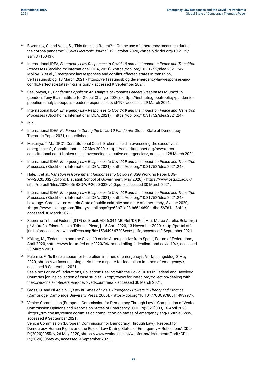- Bjørnskov, C. and Voigt, S., 'This time is different? On the use of emergency measures during the corona pandemic', *SSRN Electronic Journal*, 19 October 2020, <https://dx.doi.org/10.2139/ ssrn.3715043>.
- <sup>75</sup> International IDEA, *Emergency Law Responses to Covid-19 and the Impact on Peace and Transition Processes* (Stockholm: International IDEA, 2021), <https://doi.org/10.31752/idea.2021.24>. Molloy, S. et al., 'Emergency law responses and conflict-affected states in transition', Verfassungsblog, 13 March 2021, <[https://verfassungsblog.de/emergency-law-responses-and](https://verfassungsblog.de/emergency-law-responses-and-conflict-affected-states-in-transition/)[conflict-affected-states-in-transition/](https://verfassungsblog.de/emergency-law-responses-and-conflict-affected-states-in-transition/)>, accessed 9 September 2021.
- <sup>76</sup> See: Meyer, B., *Pandemic Populism: An Analysis of Populist Leaders' Responses to Covid-19* (London: Tony Blair Institute for Global Change, 2020), <https://institute.global/policy/pandemicpopulism-analysis-populist-leaders-responses-covid-19>, accessed 29 March 2021.
- <sup>77</sup> International IDEA, *Emergency Law Responses to Covid-19 and the Impact on Peace and Transition Processes* (Stockholm: International IDEA, 2021), <https://doi.org/10.31752/idea.2021.24>.
- <sup>78</sup> Ibid.
- <sup>79</sup> International IDEA, *Parliaments During the Covid-19 Pandemic*, Global State of Democracy Thematic Paper 2021, unpublished
- Makunya, T. M., 'DRC's Constitutional Court: Broken shield in overseeing the executive in emergencies?', Constitutionnet, 27 May 2020, <https://constitutionnet.org/news/drcsconstitutional-court-broken-shield-overseeing-executive-emergencies>, accessed 28 March 2021.
- 81 International IDEA, *Emergency Law Responses to Covid-19 and the Impact on Peace and Transition Processes* (Stockholm: International IDEA, 2021), <https://doi.org/10.31752/idea.2021.24>.
- 82 Hale, T. et al., *Variation in Government Responses to Covid-19*, BSG Working Paper BSG-WP-2020/032 (Oxford: Blavatnik School of Government, May 2020), <https://www.bsg.ox.ac.uk/ sites/default/files/2020-05/BSG-WP-2020-032-v6.0.pdf>, accessed 30 March 2021.
- 83 International IDEA, *Emergency Law Responses to Covid-19 and the Impact on Peace and Transition Processes* (Stockholm: International IDEA, 2021), <https://doi.org/10.31752/idea.2021.24>. Lexology, 'Coronavirus: Angola-State of public calamity and state of emergency', 8 June 2020, <https://www.lexology.com/library/detail.aspx?g=63b71d23-b66f-4690-adbd-567d1ee8bffc>, accessed 30 March 2021.
- <sup>84</sup> Supremo Tribunal Federal (STF) de Brasil, ADI 6.341 MC-Ref/DF, Rel. Min. Marco Aurélio, Relator(a) p/ Acórdão: Edson Fachin, Tribunal Pleno, j. 15 April 2020, 13 November 2020, <[http://portal.stf.](http://portal.stf.jus.br/processos/downloadPeca.asp?id=15344964720&ext=.pdf) [jus.br/processos/downloadPeca.asp?id=15344964720&ext=.pdf](http://portal.stf.jus.br/processos/downloadPeca.asp?id=15344964720&ext=.pdf)>, accessed 9 September 2021.
- <sup>85</sup> Kölling, M., 'Federalism and the Covid-19 crisis: A perspective from Spain', Forum of Federations, April 2020, <http://www.forumfed.org/2020/04/mario-kolling-federalism-and-covid-19/>, accessed 30 March 2021.
- 86 Palermo, F., 'Is there a space for federalism in times of emergency?', Verfassungsblog, 3 May 2020, <https://verfassungsblog.de/is-there-a-space-for-federalism-in-times-of-emergency/>, accessed 9 September 2021. See also: Forum of Federations, Collection: Dealing with the Covid Crisis in Federal and Devolved
	- Countries [online collection of case studies], <http://www.forumfed.org/collection/dealing-withthe-covid-crisis-in-federal-and-devolved-countries/>, accessed 30 March 2021.
- <sup>87</sup> Gross, O. and Ní Aoláin, F., *Law in Times of Crisis: Emergency Powers in Theory and Practice* (Cambridge: Cambridge University Press, 2006), <https://doi.org/10.1017/CBO9780511493997>.
- 88 Venice Commission (European Commission for Democracy Through Law), 'Compilation of Venice Commission Opinions and Reports on States of Emergency', CDL-PI(2020)003, 16 April 2020, [<https://rm.coe.int/venice-commission-compilation-on-states-of-emergency-eng/16809e85b9](https://rm.coe.int/venice-commission-compilation-on-states-of-emergency-eng/16809e85b9)>, accessed 9 September 2021.

Venice Commission (European Commission for Democracy Through Law), 'Respect for Democracy, Human Rights and the Rule of Law During States of Emergency – Reflections', CDLPI(2020)005Rev, 26 May 2020, <[https://www.venice.coe.int/webforms/documents/?pdf=CDL-](https://www.venice.coe.int/webforms/documents/?pdf=CDL-PI(2020)005rev-e)[PI\(2020\)005rev-e>](https://www.venice.coe.int/webforms/documents/?pdf=CDL-PI(2020)005rev-e), accessed 9 September 2021.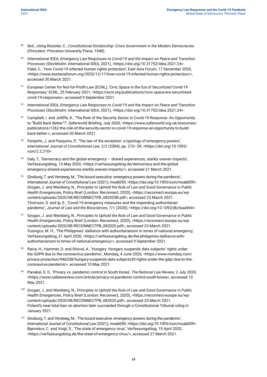- <sup>89</sup> Ibid., citing Rossiter, C., *Constitutional Dictatorship: Crisis Government in the Modern Democracies*  (Princeton: Princeton University Press, 1948).
- <sup>90</sup> International IDEA, *Emergency Law Responses to Covid-19 and the Impact on Peace and Transition Processes* (Stockholm: International IDEA, 2021), <https://doi.org/10.31752/idea.2021.24>. Patel, C., 'How Covid-19 infected human rights protection', East Asia Forum, 17 December 2020, <https://www.eastasiaforum.org/2020/12/17/how-covid-19-infected-human-rights-protection/>, accessed 30 March 2021.
- 91 European Center for Not-for-Profit-Law (ECNL), 'Civic Space in the Era of Securitized Covid-19 Responses,' ECNL, 25 February 2021, <https://ecnl.org/publications/civic-space-era-securitisedcovid-19-responses>, accessed 9 September 2021.
- <sup>92</sup> International IDEA, *Emergency Law Responses to Covid-19 and the Impact on Peace and Transition Processes* (Stockholm: International IDEA, 2021), <https://doi.org/10.31752/idea.2021.24>.
- 93 Campbell, I. and Jolliffe, K., 'The Role of the Security Sector in Covid-19 Response: An Opportunity to "Build Back Better"?', Saferworld Briefing, July 2020, <https://www.saferworld.org.uk/resources/ publications/1262-the-role-of-the-security-sector-in-covid-19-response-an-opportunity-to-buildback-better->, accessed 30 March 2021.
- Ferejohn, J. and Pasquino, P., 'The law of the exception: a typology of emergency powers', *International Journal of Constitutional Law*, 2/2 (2004), pp. 210–39, <[https://doi.org/10.1093/](https://doi.org/10.1093/icon/2.2.210) [icon/2.2.210>](https://doi.org/10.1093/icon/2.2.210).
- <sup>95</sup> Daly, T., 'Democracy and the global emergency shared experiences, starkly uneven impacts', Verfassungsblog, 15 May 2020, <https://verfassungsblog.de/democracy-and-the-globalemergency-shared-experiences-starkly-uneven-impacts/>, accessed 21 March 2021.
- <sup>96</sup> Ginsburg, T. and Versteeg, M., 'The bound executive: emergency powers during the pandemic', *International Journal of Constitutional Law* (2021), moab059, <https://doi.org/10.1093/icon/moab059>. Grogan, J. and Weinberg, N., *Principles to Uphold the Rule of Law and Good Governance in Public Health Emergencies*, Policy Brief (London: Reconnect, 2020), <https://reconnect-europe.eu/wpcontent/uploads/2020/08/RECONNECTPB\_082020B.pdf>, accessed 23 March 2021. Thomson, S. and Ip, E., 'Covid-19 emergency measures and the impending authoritarian pandemic', *Journal of Law and the Biosciences,* 7/1 (2020), <https://doi.org/10.1093/jlb/lsaa064>.
- <sup>97</sup> Grogan, J. and Weinberg, N., *Principles to Uphold the Rule of Law and Good Governance in Public Health Emergencies*, Policy Brief (London: Reconnect, 2020), <[https://reconnect-europe.eu/wp](https://reconnect-europe.eu/wp-content/uploads/2020/08/RECONNECTPB_082020.pdf)[content/uploads/2020/08/RECONNECTPB\\_082020.pdf](https://reconnect-europe.eu/wp-content/uploads/2020/08/RECONNECTPB_082020.pdf)>, accessed 23 March 2021. Yusingco, M. H., 'The Philippines' dalliance with authoritarianism in times of national emergency,' Verfassungsblog, 21 April 2020, <[https://verfassungsblog.de/the-philippines-dalliance-with](https://verfassungsblog.de/the-philippines-dalliance-with-authoritarianism-in-times-of-national-emergency/)[authoritarianism-in-times-of-national-emergency/](https://verfassungsblog.de/the-philippines-dalliance-with-authoritarianism-in-times-of-national-emergency/)>, accessed 9 September 2021.
- Ravia, H., Hammer, D. and Shoval, A., 'Hungary: Hungary suspends data subjects' rights under the GDPR due to the coronavirus pandemic', Mondaq, 4 June 2020, <https://www.mondaq.com/ privacy-protection/946538/hungary-suspends-data-subjects39-rights-under-the-gdpr-due-to-thecoronavirus-pandemic>, accessed 10 May 2021.
- <sup>99</sup> Panakal, D. D., 'Privacy vs. pandemic control in South Korea', *The National Law Review*, 2 July 2020, <https://www.natlawreview.com/article/privacy-vs-pandemic-control-south-korea>, accessed 10 May 2021.
- <sup>100</sup> Grogan, J. and Weinberg, N., *Principles to Uphold the Rule of Law and Good Governance in Public Health Emergencies*, Policy Brief (London: Reconnect, 2020), <[https://reconnect-europe.eu/wp](https://reconnect-europe.eu/wp-content/uploads/2020/08/RECONNECTPB_082020.pdf)[content/uploads/2020/08/RECONNECTPB\\_082020.pdf](https://reconnect-europe.eu/wp-content/uploads/2020/08/RECONNECTPB_082020.pdf)>, accessed 23 March 2021. Poland's near-total ban on abortion later succeeded through a Constitutional Tribunal ruling in January 2021.
- Ginsburg, T. and Versteeg, M., 'The bound executive: emergency powers during the pandemic', *International Journal of Constitutional Law* (2021), moab059, <https://doi.org/10.1093/icon/moab059>. Bjørnskov, C. and Voigt, S., 'The state of emergency virus', Verfassungsblog, 19 April 2020, <https://verfassungsblog.de/the-state-of-emergency-virus/>, accessed 27 March 2021.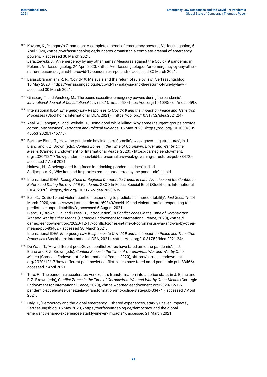<sup>102</sup> Kovács, K., 'Hungary's Orbánistan: A complete arsenal of emergency powers', Verfassungsblog, 6 April 2020, <https://verfassungsblog.de/hungarys-orbanistan-a-complete-arsenal-of-emergencypowers/>, accessed 30 March 2021.

Jaraczewski, J., 'An emergency by any other name? Measures against the Covid-19 pandemic in Poland', Verfassungsblog, 24 April 2020, <https://verfassungsblog.de/an-emergency-by-any-othername-measures-against-the-covid-19-pandemic-in-poland/>, accessed 30 March 2021.

- Balasubramaniam, R. R., 'Covid-19: Malaysia and the return of rule by law', Verfassungsblog, 16 May 2020, <https://verfassungsblog.de/covid-19-malaysia-and-the-return-of-rule-by-law/>, accessed 30 March 2021.
- Ginsburg, T. and Versteeg, M., 'The bound executive: emergency powers during the pandemic', *International Journal of Constitutional Law* (2021), moab059, <https://doi.org/10.1093/icon/moab059>.
- <sup>105</sup> International IDEA, *Emergency Law Responses to Covid-19 and the Impact on Peace and Transition Processes* (Stockholm: International IDEA, 2021), <https://doi.org/10.31752/idea.2021.24>.
- <sup>106</sup> Asal, V., Flanigan, S. and Szekely, O., 'Doing good while killing: Why some insurgent groups provide community services', *Terrorism and Political Violence*, 15 May 2020, <https://doi.org/10.1080/095 46553.2020.1745775>.
- <sup>107</sup> Bartulac Blanc, T., 'How the pandemic has laid bare Somalia's weak governing structures', in J. Blanc and F. Z. Brown (eds), *Conflict Zones in the Time of Coronavirus: War and War by Other Means* (Carnegie Endowment for International Peace, 2020), <https://carnegieendowment. org/2020/12/17/how-pandemic-has-laid-bare-somalia-s-weak-governing-structures-pub-83472>, accessed 7 April 2021. Halawa, H., 'A beleaguered Iraq faces interlocking pandemic crises', in ibid. Sadjadpour, K., 'Why Iran and its proxies remain undeterred by the pandemic', in ibid.
- <sup>108</sup> International IDEA, *Taking Stock of Regional Democratic Trends in Latin America and the Caribbean Before and During the Covid-19 Pandemic*, GSOD In Focus, Special Brief (Stockholm: International IDEA, 2020), <https://doi.org/10.31752/idea.2020.63>.
- <sup>109</sup> Bell, C., 'Covid-19 and violent conflict: responding to predictable unpredictability', *Just Security*, 24 March 2020, <https://www.justsecurity.org/69340/covid-19-and-violent-conflict-responding-topredictable-unpredictability/>, accessed 6 August 2021. Blanc, J., Brown, F. Z. and Press, B., 'Introduction', in *Conflict Zones in the Time of Coronavirus: War and War by Other Means* (Carnegie Endowment for International Peace, 2020), <https:// carnegieendowment.org/2020/12/17/conflict-zones-in-time-of-coronavirus-war-and-war-by-othermeans-pub-83462>, accessed 30 March 2021. International IDEA, *Emergency Law Responses to Covid-19 and the Impact on Peace and Transition Processes* (Stockholm: International IDEA, 2021), <https://doi.org/10.31752/idea.2021.24>.
- <sup>110</sup> De Waal, T., 'How different post-Soviet conflict zones have fared amid the pandemic', in J. Blanc and F. Z. Brown (eds), *Conflict Zones in the Time of Coronavirus: War and War by Other Means* (Carnegie Endowment for International Peace, 2020), <https://carnegieendowment. org/2020/12/17/how-different-post-soviet-conflict-zones-have-fared-amid-pandemic-pub-83466>, accessed 7 April 2021.
- <sup>111</sup> Toro, F., 'The pandemic accelerates Venezuela's transformation into a police state', in J. Blanc and F. Z. Brown (eds), *Conflict Zones in the Time of Coronavirus: War and War by Other Means* (Carnegie Endowment for International Peace, 2020), <https://carnegieendowment.org/2020/12/17/ pandemic-accelerates-venezuela-s-transformation-into-police-state-pub-83474>, accessed 7 April 2021.
- <sup>112</sup> Daly, T., 'Democracy and the global emergency shared experiences, starkly uneven impacts', Verfassungsblog, 15 May 2020, <https://verfassungsblog.de/democracy-and-the-globalemergency-shared-experiences-starkly-uneven-impacts/>, accessed 21 March 2021.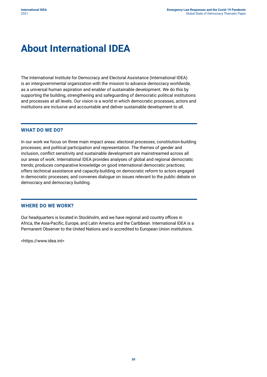### <span id="page-42-0"></span>**About International IDEA**

The International Institute for Democracy and Electoral Assistance (International IDEA) is an intergovernmental organization with the mission to advance democracy worldwide, as a universal human aspiration and enabler of sustainable development. We do this by supporting the building, strengthening and safeguarding of democratic political institutions and processes at all levels. Our vision is a world in which democratic processes, actors and institutions are inclusive and accountable and deliver sustainable development to all.

#### **WHAT DO WE DO?**

In our work we focus on three main impact areas: electoral processes; constitution-building processes; and political participation and representation. The themes of gender and inclusion, conflict sensitivity and sustainable development are mainstreamed across all our areas of work. International IDEA provides analyses of global and regional democratic trends; produces comparative knowledge on good international democratic practices; offers technical assistance and capacity-building on democratic reform to actors engaged in democratic processes; and convenes dialogue on issues relevant to the public debate on democracy and democracy building.

#### **WHERE DO WE WORK?**

Our headquarters is located in Stockholm, and we have regional and country offices in Africa, the Asia-Pacific, Europe, and Latin America and the Caribbean. International IDEA is a Permanent Observer to the United Nations and is accredited to European Union institutions.

<https://www.idea.int>